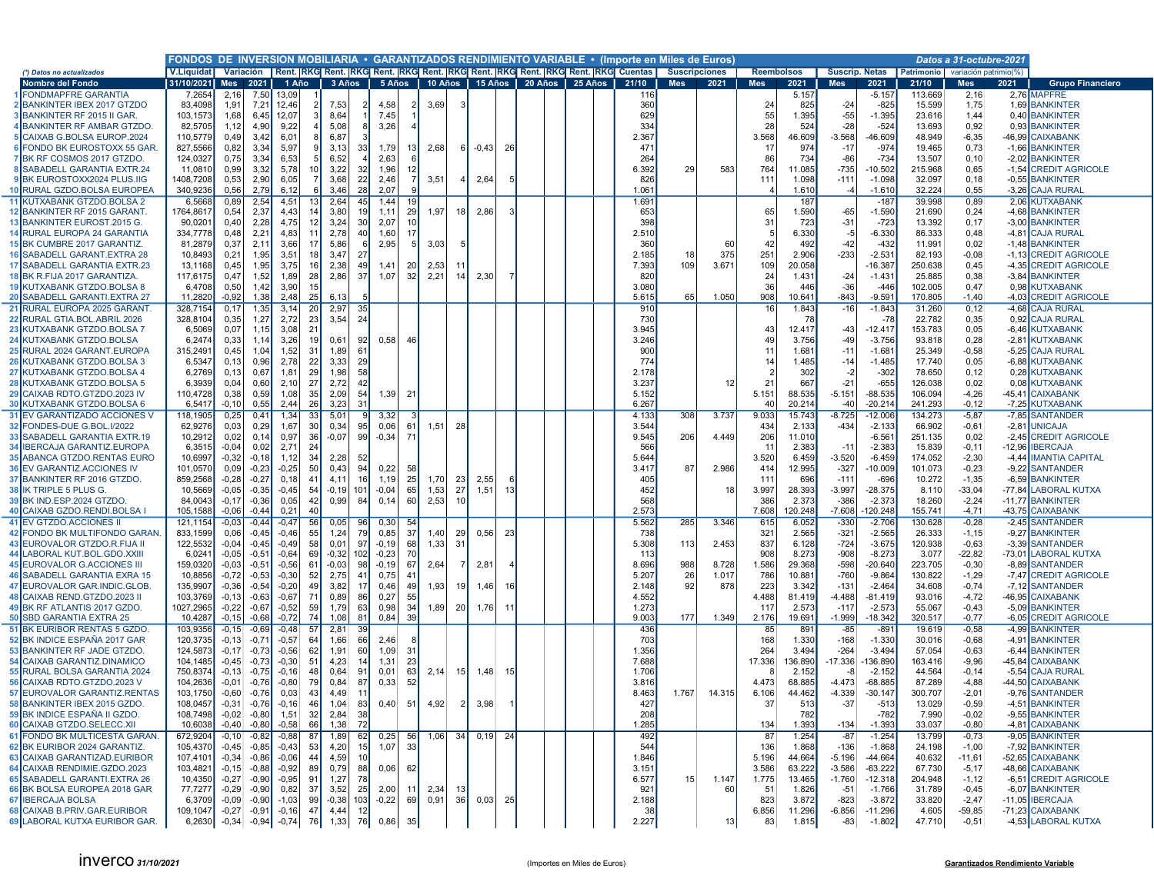| V.Liquidat<br>Variación   Rent. RKG Rent. RKG Rent. RKG Rent. RKG Rent. RKG Rent. RKG Rent. RKG Cuentas<br><b>Suscripciones</b><br><b>Suscrip. Netas</b><br>Patrimonio variación patrimio(%)<br><b>Reembolsos</b><br>(*) Datos no actualizados<br>31/10/2021<br><b>Mes</b><br>2021<br>1 Año<br>3 Años<br>5 Años<br>10 Años<br>15 Años   20 Años  <br>25 Años<br><b>Mes</b><br>2021<br><b>Mes</b><br>2021<br>21/10<br>2021<br><b>Grupo Financiero</b><br><b>Nombre del Fondo</b><br>21/10<br><b>Mes</b><br>2021<br>Mes<br>13,09<br><b>I FONDMAPFRE GARANTIA</b><br>2,16<br>7,50<br>5.157<br>2,16<br>2,76 MAPFRE<br>7,2654<br>$-5.157$<br>113.669<br>116<br>2 BANKINTER IBEX 2017 GTZDO<br>83,4098<br>1,91<br>7,21<br>12,46<br>7,53<br>4,58<br>3,69<br>360<br>825<br>$-825$<br>15.599<br>1,75<br>1.69 BANKINTER<br>24<br>-24<br>12,07<br>55<br>1.395<br>$-1.395$<br>1,44<br><b>3 BANKINTER RF 2015 II GAR.</b><br>103,1573<br>1,68<br>6,45<br>8,64<br>7,45<br>629<br>$-55$<br>23.616<br>0,40 BANKINTER<br><b>4 BANKINTER RF AMBAR GTZDO</b><br>82,5705<br>1,12<br>4,90<br>9,22<br>5,08<br>3,26<br>334<br>28<br>524<br>$-28$<br>$-524$<br>13.693<br>0,92<br>0,93 BANKINTER<br>3.568<br>$-3.568$<br>CAIXAB G.BOLSA EUROP.2024<br>110,5779<br>0,49<br>3,42<br>6,01<br>6,87<br>2.367<br>46.609<br>$-46.609$<br>48.949<br>$-6,35$<br>-46.99 CAIXABANK<br><b>6 FONDO BK EUROSTOXX 55 GAR.</b><br>827,5566<br>0,82<br>3,34<br>5,97<br>3,13<br>1,79<br>974<br>$-974$<br>0,73<br>33 <b>I</b><br>2,68<br>$-0,43$<br>-26<br>471<br>17<br>-17<br>19.465<br>-1,66 BANKINTER<br>13<br>86<br>$-86$<br>7 BK RF COSMOS 2017 GTZDO.<br>124,0327<br>6,53<br>6,52<br>2,63<br>264<br>734<br>$-734$<br>0, 10<br>-2,02 BANKINTER<br>0,75<br>3,34<br>13.507<br>3,22<br>1,96<br>764<br>11.085<br>$-735$<br>$-10.502$<br>0,65<br><b>8 SABADELL GARANTIA EXTR.24</b><br>0,99<br>3,32<br>5,78<br>10<br>32 <sub>l</sub><br>6.392<br>583<br>215.968<br>-1,54 CREDIT AGRICOLE<br>11,0810<br>29<br>12<br>3,68<br>22<br>1.098<br>9 BK EUROSTOXX2024 PLUS.IIG<br>1408,7208<br>0,53<br>2,90<br>6,05<br>2,46<br>3,51<br>2,64<br>826<br>111<br>$-1.098$<br>32.097<br>0,18<br>-0,55 BANKINTER<br>-5<br>$-111$<br>10 RURAL GZDO.BOLSA EUROPEA<br>340,9236<br>0,56<br>2,79<br>6, 12<br>3,46<br>28<br>2,07<br>1.06'<br>1.610<br>$-1.610$<br>32.224<br>0,55<br>-3,26 CAJA RURA<br>-4<br>0,89<br>2,54<br>4,51<br>2,64<br>1,44<br>1.69<br>187<br>$-187$<br>39.998<br>0,89<br>2,06 KUTXABANK<br><b>11 KUTXABANK GTZDO.BOLSA 2</b><br>6,5668<br>13<br>45<br>$-1.590$<br>12 BANKINTER RF 2015 GARANT<br>1764,8617<br>0,54<br>2,37<br>4,43<br>14<br>3,80<br>1,11<br>29<br>1,97<br>2,86<br>3<br>653<br>65<br>1.590<br>21.690<br>0,24<br>-4.68 BANKINTER<br>19<br>-18<br>-65<br>12<br>31<br>$-723$<br>13 BANKINTER EUROST.2015 G.<br>90,0201<br>0,40<br>2,28<br>4,75<br>3,24<br>30 <sup>1</sup><br>2,07<br>10<br>398<br>723<br>$-31$<br>13.392<br>0,17<br>-3,00 BANKINTER<br>14 RURAL EUROPA 24 GARANTIA<br>334,7778<br>0,48<br>$2,2^{\prime}$<br>4,83<br>11<br>2,78<br>40<br>1,60<br>2.510<br>6.330<br>$-6.330$<br>86.333<br>0,48<br>-4,81 CAJA RURAL<br>17<br>-5<br>42<br>$-42$<br><b>15 BK CUMBRE 2017 GARANTIZ.</b><br>81,2879<br>0,37<br>2,1'<br>3,66<br>17<br>5,86<br>2,95<br>360<br>492<br>$-432$<br>11.991<br>0,02<br>-1.48 BANKINTER<br>$6 \mid$<br>5<br>3,03<br>60<br>-5<br>18<br>27<br>375<br>251<br>$-233$<br>$-2.531$<br>-1,13 CREDIT AGRICOLE<br><b>16 SABADELL GARANT.EXTRA 28</b><br>0,21<br>1,95<br>3,5'<br>3,47<br>2.906<br>82.193<br>$-0.08$<br>10,8493<br>2.185<br>18<br>2,38<br>109<br>17 SABADELL GARANTIA EXTR.23<br>1,95<br>3,75<br>16<br>7.393<br>3.671<br>20.058<br>$-16.387$<br>250.638<br>0,45<br>-4,35 CREDIT AGRICOLE<br>13,1168<br>0,45<br>49<br>1,41<br>20<br>2,53<br>109<br>-11<br>28<br>2,86<br>37<br>1,07<br>32<br>$-1.431$<br>18 BK R.FIJA 2017 GARANTIZA.<br>117,6175<br>0,47<br>1,52<br>1,89<br>2,21<br>14<br>2,30<br>-7<br>820<br>24<br>1.431<br>$-24$<br>25.885<br>0,38<br>-3,84 BANKINTER<br>3,90<br>3.080<br>36<br>$-36$<br><b>19 KUTXABANK GTZDO.BOLSA 8</b><br>6,4708<br>0,50<br>1,42<br>15<br>446<br>$-446$<br>102.005<br>0,47<br>0,98 KUTXABANK<br>$-843$<br>20 SABADELL GARANTI.EXTRA 27<br>11,2820<br>$-0,92$<br>1,38<br>2,48<br>25<br>6,13<br>5.615<br>908<br>10.641<br>$-9.591$<br>170.805<br>$-1,40$<br>-4,03 CREDIT AGRICOLE<br>.5<br>65<br>1.050<br>21 RURAL EUROPA 2025 GARANT<br>2,97<br>1.843<br>$-16$<br>$-1.843$<br>0, 12<br>-4,68 CAJA RURAL<br>328,7154<br>3,14<br>20<br>35<br>910<br>16<br>31.260<br>0,17<br>1,35<br>23<br>22 RURAL GTIA.BOL.ABRIL 2026<br>328,8104<br>0,35<br>1,27<br>2,72<br>3,54<br>24<br>730<br>78<br>$-78$<br>22.782<br>0,35<br>0,92 CAJA RURAL<br>21<br>12.417<br>0,05<br>23 KUTXABANK GTZDO.BOLSA 7<br>6,5069<br>0,07<br>1,15<br>3,08<br>3.945<br>43<br>$-43$<br>$-12.417$<br>153.783<br>-6,46 KUTXABANK<br>6,2474<br>0.33<br>3,26<br>19<br>0,61<br>-921<br>0,58<br>46<br>3.246<br>49<br>3.756<br>-49<br>$-3.756$<br>93.818<br>0,28<br>-2,81 KUTXABANK<br><b>24 KUTXABANK GTZDO.BOLSA</b><br>1,14<br>31<br>25 RURAL 2024 GARANT.EUROPA<br>315,2491<br>0,45<br>1,04<br>1,52<br>1,89<br>61<br>90C<br>11<br>1.681<br>$-11$<br>$-1.681$<br>25.349<br>$-0,58$<br>-5,25 CAJA RURAL<br>22<br>26 KUTXABANK GTZDO.BOLSA 3<br>0,96<br>2,78<br>3,33<br>774<br>14<br>1.485<br>$-1.485$<br>0,05<br>-6,88 KUTXABANK<br>6,534<br>0,13<br>29<br>-14<br>17.740<br>29<br>1,98<br>58<br>2.178<br>$-302$<br>27 KUTXABANK GTZDO.BOLSA 4<br>6,2769<br>302<br>$-2$<br>78.650<br>0,12<br>0,28 KUTXABANK<br>0,13<br>0,67<br>1,8'<br>27<br>2,72<br>21<br>$-21$<br>$-655$<br>0,02<br>6,3939<br>0,04<br>0,60<br>2,10<br>3.237<br>12 <sub>l</sub><br>667<br>126.038<br>0,08 KUTXABANK<br>28 KUTXABANK GTZDO.BOLSA 5<br>42<br>35<br>2,09<br>88.535<br>$-5.151$<br>$-88.535$<br>29 CAIXAB RDTO.GTZDO.2023 IV<br>110,4728<br>0,38<br>0,59<br>1,08<br>54<br>1,39<br>21<br>5.152<br>5.151<br>106.094<br>$-4,26$<br>-45,41 CAIXABANK<br>26<br><b>30 KUTXABANK GTZDO.BOLSA 6</b><br>6,541<br>0,55<br>2,44<br>3,23<br>31<br>6.267<br>20.214<br>$-20.214$<br>241.293<br>$-0, 12$<br>-7,25 KUTXABANK<br>$-0, 10$<br>40<br>-40<br>3.737<br>$-8.725$<br><b>31 EV GARANTIZADO ACCIONES V</b><br>118,1905<br>0,25<br>$0.4^{\circ}$<br>1,34<br>33<br>5,01<br>3,32<br>4.133<br>308<br>9.033<br>15.743<br>$-12.006$<br>134.273<br>$-5,87$<br>-7,85 SANTANDER<br>30<br>0,06<br>32 FONDES-DUE G.BOL.I/2022<br>62,9276<br>0,03<br>0,29<br>1,67<br>0,34<br>95<br>61<br>28<br>3.544<br>434<br>2.133<br>$-434$<br>$-2.133$<br>66.902<br>$-0,61$<br>$-2,81$<br><b>UNICAJA</b><br>1,51<br>36<br>10,2912<br>0,02<br>0,97<br>$-0,07$<br>99<br>$-0,34$<br>71<br>9.545<br>206<br>4.449<br>206<br>11.010<br>$-6.561$<br>251.135<br>0,02<br>-2,45 CREDIT AGRICOLE<br>33 SABADELL GARANTIA EXTR.19<br>0,14<br><b>34 IBERCAJA GARANTIZ.EUROPA</b><br>6,3515<br>$-0.04$<br>2,71<br>24<br>566<br>2.383<br>$-2.383$<br>15.839<br>$-0, 11$<br>-12,96 IBERCAJA<br>0,02<br>-11<br>$-11$<br>34<br>2,28<br>3.520<br>6.459<br>$-3.520$<br>52<br>$-6.459$<br>$-2,30$<br><b>35 ABANCA GTZDO.RENTAS EURO</b><br>10,6997<br>$-0,32$<br>$-0,18$<br>1,12<br>5.644<br>174.052<br>-4,44 IMANTIA CAPITAL<br>50<br>$-0,25$<br>2.986<br>12.995<br>$-327$<br>101,0570<br>0,09<br>$-0.23$<br>0,43<br>0,22<br>58<br>3.417<br>87<br>$-10.009$<br>$-0.23$<br>-9.22 SANTANDER<br><b>36 EV GARANTIZ, ACCIONES IV</b><br>94<br>414<br>101.073<br>0, 18<br>37 BANKINTER RF 2016 GTZDO.<br>859,2568<br>$-0,27$<br>41<br>1,19<br>25<br>405<br>111<br>696<br>$-111$<br>$-696$<br>10.272<br>$-1,35$<br>-6,59 BANKINTER<br>$-0,28$<br>4,11<br>16<br>1,70<br>23<br>2,55<br>54<br>101<br>$-0,04$<br>65<br>27<br>28.393<br>$-3.997$<br>$-28.375$<br>38 IK TRIPLE 5 PLUS G.<br>10,5669<br>$-0,05$<br>$-0.35$<br>$-0,45$<br>$-0,19$<br>1,53<br>1,51<br>13<br>452<br>18<br>3.997<br>$-33,04$<br>-77,84 LABORAL KUTXA<br>8.110<br>42<br>60<br>568<br>$-2,24$<br>39 BK IND.ESP.2024 GTZDO<br>84,0043<br>$-0,17$<br>$-0,36$<br>0,05<br>0,99<br>84<br>0,14<br>2,53<br>10<br>386<br>2.373<br>$-386$<br>$-2.373$<br>18.260<br>-11,77 BANKINTER<br>40 CAIXAB GZDO.RENDI.BOLSA I<br>0,21<br>40<br>2.573<br>7.608<br>120.248<br>$-7.608$<br>120.248<br>155.741<br>$-4,71$<br>-43,75 CAIXABANK<br>105,1588<br>$-0,06$<br>$-0,44$<br>$-330$<br>41 EV GTZDO.ACCIONES II<br>121,1154<br>$-0,03$<br>$-0,44$<br>$-0,47$<br>56<br>0,30<br>54<br>5.562<br>285<br>3.346<br>615<br>6.052<br>$-2.706$<br>130.628<br>$-0,28$<br>-2,45 SANTANDER<br>0,05<br>961<br>55<br>37<br>2.565<br>42 FONDO BK MULTIFONDO GARAN.<br>833,1599<br>0,06<br>$-0,46$<br>1,24<br>791<br>0,85<br>1,40<br>29<br>0,56<br>23<br>738<br>321<br>$-321$<br>$-2.565$<br>26.333<br>$-1,15$<br>-9,27 BANKINTER<br>$-0,45$<br>58<br>837<br>43 EUROVALOR GTZDO.R.FIJA II<br>122,5532<br>$-0.04$<br>$-0,49$<br>0,01<br>-97<br>$-0,19$<br>68<br>1,33<br>31<br>5.308<br>113<br>2.453<br>6.128<br>$-724$<br>$-3.675$<br>120.938<br>$-0,63$<br>-3,39 SANTANDER<br>$-0.45$<br>69<br>44 LABORAL KUT.BOL.GDO.XXIII<br>6,0241<br>$-0.51$<br>$-0,64$<br>$-0,32$<br>102<br>$-0,23$<br>70<br>908<br>8.273<br>$-908$<br>$-8.273$<br>3.077<br>$-22,82$<br>-73,01 LABORAL KUTXA<br>$-0.05$<br>-113<br>$-0,56$<br>6 <sup>7</sup><br>$-0,03$<br>$-0,19$<br>67<br>2,64<br>2,81<br>8.696<br>988<br>8.728<br>1.586<br>29.368<br>-598<br>$-20.640$<br>$-0,30$<br>-8,89 SANTANDER<br>45 EUROVALOR G.ACCIONES III<br>159,0320<br>$-0,03$<br>$-0.5′$<br>98<br>- 71<br>223.705<br>4<br>$-0,30$<br>52<br>$-760$<br>$-1,29$<br>46 SABADELL GARANTIA EXRA 15<br>10,8856<br>$-0,72$<br>$-0.53$<br>2,75<br>0,75<br>5.207<br>786<br>10.881<br>$-9.864$<br>130.822<br>-7,47 CREDIT AGRICOLE<br>411<br>41<br>26<br>1.017<br>49<br>1,93<br>47 EUROVALOR GAR.INDIC.GLOB.<br>135,9907<br>$-0,20$<br>3,82<br>17 <sup>1</sup><br>0,46<br>49<br>16<br>2.148<br>92<br>878<br>223<br>3.342<br>$-131$<br>$-2.464$<br>$-0,74$<br>-7,12 SANTANDER<br>$-0,36$<br>$-0,54$<br>19<br>1,46<br>34.608<br>$-0,67$<br>71<br>0,89<br>0,27<br>55<br>4.552<br>4.488<br>81.419<br>$-4.488$<br>$-81.419$<br>$-4,72$<br>48 CAIXAB REND.GTZDO.2023 II<br>103,3769<br>$-0, 13$<br>$-0,63$<br>86<br>93.016<br>-46,95 CAIXABANK<br>59<br>49 BK RF ATLANTIS 2017 GZDO<br>1027,2965<br>$-0,22$<br>$-0,67$<br>$-0,52$<br>1,79<br>63<br>0,98<br>34<br>1,89<br>20<br>1,76<br>11<br>1.273<br>117<br>2.573<br>$-117$<br>$-2.573$<br>55.067<br>$-0,43$<br>-5,09 BANKINTER<br>74<br>39<br><b>50 SBD GARANTIA EXTRA 25</b><br>10,4287<br>$-0,15$<br>$-0,68$<br>$-0,72$<br>1,08<br>81<br>0,84<br>9.003<br>177<br>1.349<br>2.176<br>19.691<br>$-1.999$<br>$-18.342$<br>320.517<br>$-0,77$<br>-6,05 CREDIT AGRICOLE<br>2,81<br>$-0,58$<br>51 BK EURIBOR RENTAS 5 GZDO.<br>103,9356<br>$-0, 15$<br>$-0.69$<br>$-0,48$<br>57<br>39<br>436<br>85<br>891<br>$-85$<br>$-892$<br>19.619<br>-4,99 BANKINTER<br>$-1.330$<br>52 BK INDICE ESPAÑA 2017 GAR<br>120,3735<br>$-0,13$<br>$-0,71$<br>$-0,57$<br>64<br>1,66<br>66<br>2,46<br>703<br>168<br>1.330<br>$-168$<br>30.016<br>$-0,68$<br>-4,91 BANKINTER<br>53 BANKINTER RF JADE GTZDO.<br>124,5873<br>$-0,56$<br>62<br>1,91<br>1,09<br>1.356<br>264<br>3.494<br>$-264$<br>$-3.494$<br>57.054<br>$-0,63$<br>-6,44 BANKINTER<br>$-0,17$<br>-0,73<br>601<br>31<br><b>54 CAIXAB GARANTIZ.DINAMICO</b><br>104,1485<br>$-0,45$<br>$-0,30$<br>51<br>4,23<br>1,31<br>23<br>7.688<br>17.336<br>136.890<br>$-17.336$<br>-136.890<br>$-9,96$<br>-45,84 CAIXABANK<br>$-0,73$<br>14<br>163.416<br>55 RURAL BOLSA GARANTIA 2024<br>$-0, 16$<br>0,64<br>0,01<br>63<br>750,8374<br>$-0,13$<br>$-0,75$<br>-48<br>911<br>$2,14$ 15<br>1,48<br>1.706<br>2.152<br>-8<br>$-2.152$<br>44.564<br>$-0,14$<br>-5,54 CAJA RURAL<br>-15<br>8<br>79<br>52<br>56 CAIXAB RDTO.GTZDO.2023 V<br>104,2636<br>$-0.80$<br>0,84<br>87<br>0,33<br>4.473<br>68.885<br>$-68.885$<br>87.289<br>$-4,88$<br>-44,50 CAIXABANK<br>$-0,01$<br>$-0,76$<br>3.816<br>-4.473<br>43<br>44.462<br>$-2,01$<br>57 EUROVALOR GARANTIZ.RENTAS<br>103,1750<br>$-0,60$<br>$-0,76$<br>0,03<br>4,49<br>1.767<br>14.315<br>-4.339<br>$-30.147$<br>300.707<br>-9,76 SANTANDER<br>11<br>8.463<br>6.106<br>$0,40$ 51 4,92 2 3,98<br>58 BANKINTER IBEX 2015 GZDO.<br>108,0457<br>$-0,31$ $-0,76$<br>$-0, 16$<br>46<br>1,04<br>83<br>513<br>13.029<br>$-0,59$<br>-4,51 BANKINTER<br>427<br>37<br>-37<br>$-513$<br>59 BK INDICE ESPAÑA II GZDO.<br>32<br>208<br>782<br>$-782$<br>-9,55 BANKINTER<br>$108,7498$ $-0,02$ $-0,80$<br>1,51<br>2,84<br>-38 l<br>7.990<br>$-0,02$<br>60 CAIXAB GTZDO.SELECC.XII<br>10,6038<br>$-0,58$<br>66<br>1,38<br>1.285<br>-4,81 CAIXABANK<br>$-0,40$ $-0,80$<br>72I<br>134<br>1.393<br>$-134$<br>$-1.393$<br>33.037<br>$-0,80$<br>61 FONDO BK MULTICESTA GARAN.<br>-9.05 BANKINTER<br>672,9204<br>$-0,10$ $-0,82$<br>$-0,88$<br>1,89<br>0,25<br>56<br>$1,06$ 34 0,19 24<br>492<br>87<br>1.254<br>$-87$<br>$-1.254$<br>13.799<br>$-0,73$<br>87<br>62<br>53<br>4,20<br>1,07 33<br>-7,92 BANKINTER<br>62 BK EURIBOR 2024 GARANTIZ.<br>$105,4370$ $-0,45$ $-0,85$<br>$-0,43$<br>544<br>136<br>1.868<br>$-136$<br>$-1.868$<br>24.198<br>$-1,00$<br>15 I<br>-52,65 CAIXABANK<br>63 CAIXAB GARANTIZAD.EURIBOR<br>$-0,06$<br>44<br>4,59<br>107,4101<br>$-0,34$ $-0,86$<br>1.846<br>5.196<br>44.664<br>$-5.196$<br>-44.664<br>40.632<br>$-11,61$<br>89<br>64 CAIXAB RENDIMIE.GZDO.2023<br>$-0,92$<br>0,79<br>0,06<br>63.222<br>-48,66 CAIXABANK<br>103,4821<br>$-0,15$ $-0,88$<br>881<br>62<br>3.151<br>3.586<br>$-3.586$<br>$-63.222$<br>67.730<br>$-5,17$<br>-6.51 CREDIT AGRICOLE<br>65 SABADELL GARANTI.EXTRA 26<br>$10,4350$ -0,27 -0,90<br>$-0,95$<br>91<br>1,27<br>6.577<br>13.465<br>78<br>15<br>1.147<br>1.775<br>$-1.760$<br>$-12.318$<br>204.948<br>$-1,12$<br>66 BK BOLSA EUROPEA 2018 GAR<br>37<br>-6,07 BANKINTER<br>77,7277<br>3,52<br>2,34<br>$-0.29$ $-0.90$<br>0,82<br><b>251</b><br>2,00<br>921<br>60<br>51<br>1.826<br>$-1.766$<br>31.789<br>$-0,45$<br>11<br>- 13<br>-51<br><b>67 IBERCAJA BOLSA</b><br>$6,3709$ -0.09<br>99<br>$-0,38$<br>103<br>$-0,22$<br>69<br>0,91<br>36<br>0,03<br>823<br>3.872<br>$-3.872$<br>-11,05 IBERCAJA<br>$-0,90$<br>$-1,03$<br>25<br>2.188<br>$-823$<br>33.820<br>$-2,47$<br>-71,23 CAIXABANK<br>68 CAIXAB B.PRIV.GAR.EURIBOR<br>$109, 1047$ -0,27 -0,91<br>$-0, 16$<br>47<br>4,44<br>6.856<br>11.296<br>$-6.856$<br>$-11.296$<br>$-59,85$<br>12 <sub>l</sub><br>38<br>4.605<br>69 LABORAL KUTXA EURIBOR GAR.<br>6,2630<br>$-0,74$<br>76<br>1,33<br>76<br>0,86<br>35<br>2.227<br>-4,53 LABORAL KUTXA<br>$-0,34$ $-0,94$<br>13<br>83<br>1.815<br>$-83$<br>$-1.802$<br>47.710<br>$-0,51$ | FONDOS DE INVERSION MOBILIARIA • GARANTIZADOS RENDIMIENTO VARIABLE • (Importe en Miles de Euros) |  |  |  |  |  |  |  |  |  |  |  |  | Datos a 31-octubre-2021 |  |
|----------------------------------------------------------------------------------------------------------------------------------------------------------------------------------------------------------------------------------------------------------------------------------------------------------------------------------------------------------------------------------------------------------------------------------------------------------------------------------------------------------------------------------------------------------------------------------------------------------------------------------------------------------------------------------------------------------------------------------------------------------------------------------------------------------------------------------------------------------------------------------------------------------------------------------------------------------------------------------------------------------------------------------------------------------------------------------------------------------------------------------------------------------------------------------------------------------------------------------------------------------------------------------------------------------------------------------------------------------------------------------------------------------------------------------------------------------------------------------------------------------------------------------------------------------------------------------------------------------------------------------------------------------------------------------------------------------------------------------------------------------------------------------------------------------------------------------------------------------------------------------------------------------------------------------------------------------------------------------------------------------------------------------------------------------------------------------------------------------------------------------------------------------------------------------------------------------------------------------------------------------------------------------------------------------------------------------------------------------------------------------------------------------------------------------------------------------------------------------------------------------------------------------------------------------------------------------------------------------------------------------------------------------------------------------------------------------------------------------------------------------------------------------------------------------------------------------------------------------------------------------------------------------------------------------------------------------------------------------------------------------------------------------------------------------------------------------------------------------------------------------------------------------------------------------------------------------------------------------------------------------------------------------------------------------------------------------------------------------------------------------------------------------------------------------------------------------------------------------------------------------------------------------------------------------------------------------------------------------------------------------------------------------------------------------------------------------------------------------------------------------------------------------------------------------------------------------------------------------------------------------------------------------------------------------------------------------------------------------------------------------------------------------------------------------------------------------------------------------------------------------------------------------------------------------------------------------------------------------------------------------------------------------------------------------------------------------------------------------------------------------------------------------------------------------------------------------------------------------------------------------------------------------------------------------------------------------------------------------------------------------------------------------------------------------------------------------------------------------------------------------------------------------------------------------------------------------------------------------------------------------------------------------------------------------------------------------------------------------------------------------------------------------------------------------------------------------------------------------------------------------------------------------------------------------------------------------------------------------------------------------------------------------------------------------------------------------------------------------------------------------------------------------------------------------------------------------------------------------------------------------------------------------------------------------------------------------------------------------------------------------------------------------------------------------------------------------------------------------------------------------------------------------------------------------------------------------------------------------------------------------------------------------------------------------------------------------------------------------------------------------------------------------------------------------------------------------------------------------------------------------------------------------------------------------------------------------------------------------------------------------------------------------------------------------------------------------------------------------------------------------------------------------------------------------------------------------------------------------------------------------------------------------------------------------------------------------------------------------------------------------------------------------------------------------------------------------------------------------------------------------------------------------------------------------------------------------------------------------------------------------------------------------------------------------------------------------------------------------------------------------------------------------------------------------------------------------------------------------------------------------------------------------------------------------------------------------------------------------------------------------------------------------------------------------------------------------------------------------------------------------------------------------------------------------------------------------------------------------------------------------------------------------------------------------------------------------------------------------------------------------------------------------------------------------------------------------------------------------------------------------------------------------------------------------------------------------------------------------------------------------------------------------------------------------------------------------------------------------------------------------------------------------------------------------------------------------------------------------------------------------------------------------------------------------------------------------------------------------------------------------------------------------------------------------------------------------------------------------------------------------------------------------------------------------------------------------------------------------------------------------------------------------------------------------------------------------------------------------------------------------------------------------------------------------------------------------------------------------------------------------------------------------------------------------------------------------------------------------------------------------------------------------------------------------------------------------------------------------------------------------------------------------------------------------------------------------------------------------------------------------------------------------------------------------------------------------------------------------------------------------------------------------------------------------------------------------------------------------------------------------------------------------------------------------------------------------------------------------------------------------------------------------------------------------------------------------------------------------------------------------------------------------------------------------------------------------------------------------------------------------------------------------------------------------------------------------------------------------------------------------------------------------------------------------------------------------------------------------------------------------------------------------------------------------------------------------------------------------------------------------------------------------------------------------------------------------------------------------------------------------------------------------------------------------------------------------------------------------------------------------------------------------------------------------------------------------------------------------------------------------------------------------------------------------------------------------------------------------------------------------------------------------------------------------------------------------------------------------------------------------------------------------------------------------------------------------------------------------------------------------------------------------------------------------------------------------------------------------------------------------------------------------------------------------------------------------------------------------------------------------------------------------------------------------------------------------------------------------------------------------------------------------------------------------------------------------------------------------------------------------------------------------------------------------------------------------------------------------------------------------------------------------------------------------------------------------------------------------------------------------------------------------------------------------------------------------------------------------------------------------------------------------------------------------------------------------------------------------------------------------------------------------------------------------------------------------------------------------------------------------------------------------------------------------------------------------------------------------------------------------------------------------------------------------------------------------------------------------------------------------------------------------------------------------------------------------------------------------------------------------------------------------------------------------------------------------------------------------------------------------------------------------------------------------------------------------------------------------------------------------------------------------------------------------------------------------------------------------------------------------------------------------------------------------------------------------------------------------------------------------------------------------------------------------------------------------------------------------------------------------------------------------------------------------------------------------------------------------------------------------------------------------------------------------------------------------------------------------------------------------------------------------------------------------------------------------------------------------------------------------------------------------------------------------------------------------------------------------------------------------------------------------------------------------------------------------------------------------------------------------------------------------------------------------------------------------------------------------------------------------------------------------------------------------------------------------------------------------------------------------------------------------------------------------------------------------------------------------------------------------------------------------------------------------------------------------------------------------------------------------------------------------------------------------------------------------------------------------------------------------------------------------------------------------------------------------------------------------------------------------------------------------------------------------------------------------------------------------------------------------------------------------------|--------------------------------------------------------------------------------------------------|--|--|--|--|--|--|--|--|--|--|--|--|-------------------------|--|
|                                                                                                                                                                                                                                                                                                                                                                                                                                                                                                                                                                                                                                                                                                                                                                                                                                                                                                                                                                                                                                                                                                                                                                                                                                                                                                                                                                                                                                                                                                                                                                                                                                                                                                                                                                                                                                                                                                                                                                                                                                                                                                                                                                                                                                                                                                                                                                                                                                                                                                                                                                                                                                                                                                                                                                                                                                                                                                                                                                                                                                                                                                                                                                                                                                                                                                                                                                                                                                                                                                                                                                                                                                                                                                                                                                                                                                                                                                                                                                                                                                                                                                                                                                                                                                                                                                                                                                                                                                                                                                                                                                                                                                                                                                                                                                                                                                                                                                                                                                                                                                                                                                                                                                                                                                                                                                                                                                                                                                                                                                                                                                                                                                                                                                                                                                                                                                                                                                                                                                                                                                                                                                                                                                                                                                                                                                                                                                                                                                                                                                                                                                                                                                                                                                                                                                                                                                                                                                                                                                                                                                                                                                                                                                                                                                                                                                                                                                                                                                                                                                                                                                                                                                                                                                                                                                                                                                                                                                                                                                                                                                                                                                                                                                                                                                                                                                                                                                                                                                                                                                                                                                                                                                                                                                                                                                                                                                                                                                                                                                                                                                                                                                                                                                                                                                                                                                                                                                                                                                                                                                                                                                                                                                                                                                                                                                                                                                                                                                                                                                                                                                                                                                                                                                                                                                                                                                                                                                                                                                                                                                                                                                                                                                                                                                                                                                                                                                                                                                                                                                                                                                                                                                                                                                                                                                                                                                                                                                                                                                                                                                                                                                                                                                                                                                                                                                                                                                                                                                                                                                                                                                                                                                                                                                                                                                                                                                                                                                                                                                                                                                                                                                                                                                                                                                                                                                                                                                                                                                                                                                                                                                                                                                                                                                                                                                                                                                                                                                                                                                                                                                                                                                                                                                                                                                                                                                                                                                                                                                                                                                                                                                                                                                                                                                                                                                                                                                                                                                                                                                                                                                                                        |                                                                                                  |  |  |  |  |  |  |  |  |  |  |  |  |                         |  |
|                                                                                                                                                                                                                                                                                                                                                                                                                                                                                                                                                                                                                                                                                                                                                                                                                                                                                                                                                                                                                                                                                                                                                                                                                                                                                                                                                                                                                                                                                                                                                                                                                                                                                                                                                                                                                                                                                                                                                                                                                                                                                                                                                                                                                                                                                                                                                                                                                                                                                                                                                                                                                                                                                                                                                                                                                                                                                                                                                                                                                                                                                                                                                                                                                                                                                                                                                                                                                                                                                                                                                                                                                                                                                                                                                                                                                                                                                                                                                                                                                                                                                                                                                                                                                                                                                                                                                                                                                                                                                                                                                                                                                                                                                                                                                                                                                                                                                                                                                                                                                                                                                                                                                                                                                                                                                                                                                                                                                                                                                                                                                                                                                                                                                                                                                                                                                                                                                                                                                                                                                                                                                                                                                                                                                                                                                                                                                                                                                                                                                                                                                                                                                                                                                                                                                                                                                                                                                                                                                                                                                                                                                                                                                                                                                                                                                                                                                                                                                                                                                                                                                                                                                                                                                                                                                                                                                                                                                                                                                                                                                                                                                                                                                                                                                                                                                                                                                                                                                                                                                                                                                                                                                                                                                                                                                                                                                                                                                                                                                                                                                                                                                                                                                                                                                                                                                                                                                                                                                                                                                                                                                                                                                                                                                                                                                                                                                                                                                                                                                                                                                                                                                                                                                                                                                                                                                                                                                                                                                                                                                                                                                                                                                                                                                                                                                                                                                                                                                                                                                                                                                                                                                                                                                                                                                                                                                                                                                                                                                                                                                                                                                                                                                                                                                                                                                                                                                                                                                                                                                                                                                                                                                                                                                                                                                                                                                                                                                                                                                                                                                                                                                                                                                                                                                                                                                                                                                                                                                                                                                                                                                                                                                                                                                                                                                                                                                                                                                                                                                                                                                                                                                                                                                                                                                                                                                                                                                                                                                                                                                                                                                                                                                                                                                                                                                                                                                                                                                                                                                                                                                                                                        |                                                                                                  |  |  |  |  |  |  |  |  |  |  |  |  |                         |  |
|                                                                                                                                                                                                                                                                                                                                                                                                                                                                                                                                                                                                                                                                                                                                                                                                                                                                                                                                                                                                                                                                                                                                                                                                                                                                                                                                                                                                                                                                                                                                                                                                                                                                                                                                                                                                                                                                                                                                                                                                                                                                                                                                                                                                                                                                                                                                                                                                                                                                                                                                                                                                                                                                                                                                                                                                                                                                                                                                                                                                                                                                                                                                                                                                                                                                                                                                                                                                                                                                                                                                                                                                                                                                                                                                                                                                                                                                                                                                                                                                                                                                                                                                                                                                                                                                                                                                                                                                                                                                                                                                                                                                                                                                                                                                                                                                                                                                                                                                                                                                                                                                                                                                                                                                                                                                                                                                                                                                                                                                                                                                                                                                                                                                                                                                                                                                                                                                                                                                                                                                                                                                                                                                                                                                                                                                                                                                                                                                                                                                                                                                                                                                                                                                                                                                                                                                                                                                                                                                                                                                                                                                                                                                                                                                                                                                                                                                                                                                                                                                                                                                                                                                                                                                                                                                                                                                                                                                                                                                                                                                                                                                                                                                                                                                                                                                                                                                                                                                                                                                                                                                                                                                                                                                                                                                                                                                                                                                                                                                                                                                                                                                                                                                                                                                                                                                                                                                                                                                                                                                                                                                                                                                                                                                                                                                                                                                                                                                                                                                                                                                                                                                                                                                                                                                                                                                                                                                                                                                                                                                                                                                                                                                                                                                                                                                                                                                                                                                                                                                                                                                                                                                                                                                                                                                                                                                                                                                                                                                                                                                                                                                                                                                                                                                                                                                                                                                                                                                                                                                                                                                                                                                                                                                                                                                                                                                                                                                                                                                                                                                                                                                                                                                                                                                                                                                                                                                                                                                                                                                                                                                                                                                                                                                                                                                                                                                                                                                                                                                                                                                                                                                                                                                                                                                                                                                                                                                                                                                                                                                                                                                                                                                                                                                                                                                                                                                                                                                                                                                                                                                                                                                        |                                                                                                  |  |  |  |  |  |  |  |  |  |  |  |  |                         |  |
|                                                                                                                                                                                                                                                                                                                                                                                                                                                                                                                                                                                                                                                                                                                                                                                                                                                                                                                                                                                                                                                                                                                                                                                                                                                                                                                                                                                                                                                                                                                                                                                                                                                                                                                                                                                                                                                                                                                                                                                                                                                                                                                                                                                                                                                                                                                                                                                                                                                                                                                                                                                                                                                                                                                                                                                                                                                                                                                                                                                                                                                                                                                                                                                                                                                                                                                                                                                                                                                                                                                                                                                                                                                                                                                                                                                                                                                                                                                                                                                                                                                                                                                                                                                                                                                                                                                                                                                                                                                                                                                                                                                                                                                                                                                                                                                                                                                                                                                                                                                                                                                                                                                                                                                                                                                                                                                                                                                                                                                                                                                                                                                                                                                                                                                                                                                                                                                                                                                                                                                                                                                                                                                                                                                                                                                                                                                                                                                                                                                                                                                                                                                                                                                                                                                                                                                                                                                                                                                                                                                                                                                                                                                                                                                                                                                                                                                                                                                                                                                                                                                                                                                                                                                                                                                                                                                                                                                                                                                                                                                                                                                                                                                                                                                                                                                                                                                                                                                                                                                                                                                                                                                                                                                                                                                                                                                                                                                                                                                                                                                                                                                                                                                                                                                                                                                                                                                                                                                                                                                                                                                                                                                                                                                                                                                                                                                                                                                                                                                                                                                                                                                                                                                                                                                                                                                                                                                                                                                                                                                                                                                                                                                                                                                                                                                                                                                                                                                                                                                                                                                                                                                                                                                                                                                                                                                                                                                                                                                                                                                                                                                                                                                                                                                                                                                                                                                                                                                                                                                                                                                                                                                                                                                                                                                                                                                                                                                                                                                                                                                                                                                                                                                                                                                                                                                                                                                                                                                                                                                                                                                                                                                                                                                                                                                                                                                                                                                                                                                                                                                                                                                                                                                                                                                                                                                                                                                                                                                                                                                                                                                                                                                                                                                                                                                                                                                                                                                                                                                                                                                                                                                                        |                                                                                                  |  |  |  |  |  |  |  |  |  |  |  |  |                         |  |
|                                                                                                                                                                                                                                                                                                                                                                                                                                                                                                                                                                                                                                                                                                                                                                                                                                                                                                                                                                                                                                                                                                                                                                                                                                                                                                                                                                                                                                                                                                                                                                                                                                                                                                                                                                                                                                                                                                                                                                                                                                                                                                                                                                                                                                                                                                                                                                                                                                                                                                                                                                                                                                                                                                                                                                                                                                                                                                                                                                                                                                                                                                                                                                                                                                                                                                                                                                                                                                                                                                                                                                                                                                                                                                                                                                                                                                                                                                                                                                                                                                                                                                                                                                                                                                                                                                                                                                                                                                                                                                                                                                                                                                                                                                                                                                                                                                                                                                                                                                                                                                                                                                                                                                                                                                                                                                                                                                                                                                                                                                                                                                                                                                                                                                                                                                                                                                                                                                                                                                                                                                                                                                                                                                                                                                                                                                                                                                                                                                                                                                                                                                                                                                                                                                                                                                                                                                                                                                                                                                                                                                                                                                                                                                                                                                                                                                                                                                                                                                                                                                                                                                                                                                                                                                                                                                                                                                                                                                                                                                                                                                                                                                                                                                                                                                                                                                                                                                                                                                                                                                                                                                                                                                                                                                                                                                                                                                                                                                                                                                                                                                                                                                                                                                                                                                                                                                                                                                                                                                                                                                                                                                                                                                                                                                                                                                                                                                                                                                                                                                                                                                                                                                                                                                                                                                                                                                                                                                                                                                                                                                                                                                                                                                                                                                                                                                                                                                                                                                                                                                                                                                                                                                                                                                                                                                                                                                                                                                                                                                                                                                                                                                                                                                                                                                                                                                                                                                                                                                                                                                                                                                                                                                                                                                                                                                                                                                                                                                                                                                                                                                                                                                                                                                                                                                                                                                                                                                                                                                                                                                                                                                                                                                                                                                                                                                                                                                                                                                                                                                                                                                                                                                                                                                                                                                                                                                                                                                                                                                                                                                                                                                                                                                                                                                                                                                                                                                                                                                                                                                                                                                                                        |                                                                                                  |  |  |  |  |  |  |  |  |  |  |  |  |                         |  |
|                                                                                                                                                                                                                                                                                                                                                                                                                                                                                                                                                                                                                                                                                                                                                                                                                                                                                                                                                                                                                                                                                                                                                                                                                                                                                                                                                                                                                                                                                                                                                                                                                                                                                                                                                                                                                                                                                                                                                                                                                                                                                                                                                                                                                                                                                                                                                                                                                                                                                                                                                                                                                                                                                                                                                                                                                                                                                                                                                                                                                                                                                                                                                                                                                                                                                                                                                                                                                                                                                                                                                                                                                                                                                                                                                                                                                                                                                                                                                                                                                                                                                                                                                                                                                                                                                                                                                                                                                                                                                                                                                                                                                                                                                                                                                                                                                                                                                                                                                                                                                                                                                                                                                                                                                                                                                                                                                                                                                                                                                                                                                                                                                                                                                                                                                                                                                                                                                                                                                                                                                                                                                                                                                                                                                                                                                                                                                                                                                                                                                                                                                                                                                                                                                                                                                                                                                                                                                                                                                                                                                                                                                                                                                                                                                                                                                                                                                                                                                                                                                                                                                                                                                                                                                                                                                                                                                                                                                                                                                                                                                                                                                                                                                                                                                                                                                                                                                                                                                                                                                                                                                                                                                                                                                                                                                                                                                                                                                                                                                                                                                                                                                                                                                                                                                                                                                                                                                                                                                                                                                                                                                                                                                                                                                                                                                                                                                                                                                                                                                                                                                                                                                                                                                                                                                                                                                                                                                                                                                                                                                                                                                                                                                                                                                                                                                                                                                                                                                                                                                                                                                                                                                                                                                                                                                                                                                                                                                                                                                                                                                                                                                                                                                                                                                                                                                                                                                                                                                                                                                                                                                                                                                                                                                                                                                                                                                                                                                                                                                                                                                                                                                                                                                                                                                                                                                                                                                                                                                                                                                                                                                                                                                                                                                                                                                                                                                                                                                                                                                                                                                                                                                                                                                                                                                                                                                                                                                                                                                                                                                                                                                                                                                                                                                                                                                                                                                                                                                                                                                                                                                                                                        |                                                                                                  |  |  |  |  |  |  |  |  |  |  |  |  |                         |  |
|                                                                                                                                                                                                                                                                                                                                                                                                                                                                                                                                                                                                                                                                                                                                                                                                                                                                                                                                                                                                                                                                                                                                                                                                                                                                                                                                                                                                                                                                                                                                                                                                                                                                                                                                                                                                                                                                                                                                                                                                                                                                                                                                                                                                                                                                                                                                                                                                                                                                                                                                                                                                                                                                                                                                                                                                                                                                                                                                                                                                                                                                                                                                                                                                                                                                                                                                                                                                                                                                                                                                                                                                                                                                                                                                                                                                                                                                                                                                                                                                                                                                                                                                                                                                                                                                                                                                                                                                                                                                                                                                                                                                                                                                                                                                                                                                                                                                                                                                                                                                                                                                                                                                                                                                                                                                                                                                                                                                                                                                                                                                                                                                                                                                                                                                                                                                                                                                                                                                                                                                                                                                                                                                                                                                                                                                                                                                                                                                                                                                                                                                                                                                                                                                                                                                                                                                                                                                                                                                                                                                                                                                                                                                                                                                                                                                                                                                                                                                                                                                                                                                                                                                                                                                                                                                                                                                                                                                                                                                                                                                                                                                                                                                                                                                                                                                                                                                                                                                                                                                                                                                                                                                                                                                                                                                                                                                                                                                                                                                                                                                                                                                                                                                                                                                                                                                                                                                                                                                                                                                                                                                                                                                                                                                                                                                                                                                                                                                                                                                                                                                                                                                                                                                                                                                                                                                                                                                                                                                                                                                                                                                                                                                                                                                                                                                                                                                                                                                                                                                                                                                                                                                                                                                                                                                                                                                                                                                                                                                                                                                                                                                                                                                                                                                                                                                                                                                                                                                                                                                                                                                                                                                                                                                                                                                                                                                                                                                                                                                                                                                                                                                                                                                                                                                                                                                                                                                                                                                                                                                                                                                                                                                                                                                                                                                                                                                                                                                                                                                                                                                                                                                                                                                                                                                                                                                                                                                                                                                                                                                                                                                                                                                                                                                                                                                                                                                                                                                                                                                                                                                                                                                        |                                                                                                  |  |  |  |  |  |  |  |  |  |  |  |  |                         |  |
|                                                                                                                                                                                                                                                                                                                                                                                                                                                                                                                                                                                                                                                                                                                                                                                                                                                                                                                                                                                                                                                                                                                                                                                                                                                                                                                                                                                                                                                                                                                                                                                                                                                                                                                                                                                                                                                                                                                                                                                                                                                                                                                                                                                                                                                                                                                                                                                                                                                                                                                                                                                                                                                                                                                                                                                                                                                                                                                                                                                                                                                                                                                                                                                                                                                                                                                                                                                                                                                                                                                                                                                                                                                                                                                                                                                                                                                                                                                                                                                                                                                                                                                                                                                                                                                                                                                                                                                                                                                                                                                                                                                                                                                                                                                                                                                                                                                                                                                                                                                                                                                                                                                                                                                                                                                                                                                                                                                                                                                                                                                                                                                                                                                                                                                                                                                                                                                                                                                                                                                                                                                                                                                                                                                                                                                                                                                                                                                                                                                                                                                                                                                                                                                                                                                                                                                                                                                                                                                                                                                                                                                                                                                                                                                                                                                                                                                                                                                                                                                                                                                                                                                                                                                                                                                                                                                                                                                                                                                                                                                                                                                                                                                                                                                                                                                                                                                                                                                                                                                                                                                                                                                                                                                                                                                                                                                                                                                                                                                                                                                                                                                                                                                                                                                                                                                                                                                                                                                                                                                                                                                                                                                                                                                                                                                                                                                                                                                                                                                                                                                                                                                                                                                                                                                                                                                                                                                                                                                                                                                                                                                                                                                                                                                                                                                                                                                                                                                                                                                                                                                                                                                                                                                                                                                                                                                                                                                                                                                                                                                                                                                                                                                                                                                                                                                                                                                                                                                                                                                                                                                                                                                                                                                                                                                                                                                                                                                                                                                                                                                                                                                                                                                                                                                                                                                                                                                                                                                                                                                                                                                                                                                                                                                                                                                                                                                                                                                                                                                                                                                                                                                                                                                                                                                                                                                                                                                                                                                                                                                                                                                                                                                                                                                                                                                                                                                                                                                                                                                                                                                                                                                                        |                                                                                                  |  |  |  |  |  |  |  |  |  |  |  |  |                         |  |
|                                                                                                                                                                                                                                                                                                                                                                                                                                                                                                                                                                                                                                                                                                                                                                                                                                                                                                                                                                                                                                                                                                                                                                                                                                                                                                                                                                                                                                                                                                                                                                                                                                                                                                                                                                                                                                                                                                                                                                                                                                                                                                                                                                                                                                                                                                                                                                                                                                                                                                                                                                                                                                                                                                                                                                                                                                                                                                                                                                                                                                                                                                                                                                                                                                                                                                                                                                                                                                                                                                                                                                                                                                                                                                                                                                                                                                                                                                                                                                                                                                                                                                                                                                                                                                                                                                                                                                                                                                                                                                                                                                                                                                                                                                                                                                                                                                                                                                                                                                                                                                                                                                                                                                                                                                                                                                                                                                                                                                                                                                                                                                                                                                                                                                                                                                                                                                                                                                                                                                                                                                                                                                                                                                                                                                                                                                                                                                                                                                                                                                                                                                                                                                                                                                                                                                                                                                                                                                                                                                                                                                                                                                                                                                                                                                                                                                                                                                                                                                                                                                                                                                                                                                                                                                                                                                                                                                                                                                                                                                                                                                                                                                                                                                                                                                                                                                                                                                                                                                                                                                                                                                                                                                                                                                                                                                                                                                                                                                                                                                                                                                                                                                                                                                                                                                                                                                                                                                                                                                                                                                                                                                                                                                                                                                                                                                                                                                                                                                                                                                                                                                                                                                                                                                                                                                                                                                                                                                                                                                                                                                                                                                                                                                                                                                                                                                                                                                                                                                                                                                                                                                                                                                                                                                                                                                                                                                                                                                                                                                                                                                                                                                                                                                                                                                                                                                                                                                                                                                                                                                                                                                                                                                                                                                                                                                                                                                                                                                                                                                                                                                                                                                                                                                                                                                                                                                                                                                                                                                                                                                                                                                                                                                                                                                                                                                                                                                                                                                                                                                                                                                                                                                                                                                                                                                                                                                                                                                                                                                                                                                                                                                                                                                                                                                                                                                                                                                                                                                                                                                                                                                                                        |                                                                                                  |  |  |  |  |  |  |  |  |  |  |  |  |                         |  |
|                                                                                                                                                                                                                                                                                                                                                                                                                                                                                                                                                                                                                                                                                                                                                                                                                                                                                                                                                                                                                                                                                                                                                                                                                                                                                                                                                                                                                                                                                                                                                                                                                                                                                                                                                                                                                                                                                                                                                                                                                                                                                                                                                                                                                                                                                                                                                                                                                                                                                                                                                                                                                                                                                                                                                                                                                                                                                                                                                                                                                                                                                                                                                                                                                                                                                                                                                                                                                                                                                                                                                                                                                                                                                                                                                                                                                                                                                                                                                                                                                                                                                                                                                                                                                                                                                                                                                                                                                                                                                                                                                                                                                                                                                                                                                                                                                                                                                                                                                                                                                                                                                                                                                                                                                                                                                                                                                                                                                                                                                                                                                                                                                                                                                                                                                                                                                                                                                                                                                                                                                                                                                                                                                                                                                                                                                                                                                                                                                                                                                                                                                                                                                                                                                                                                                                                                                                                                                                                                                                                                                                                                                                                                                                                                                                                                                                                                                                                                                                                                                                                                                                                                                                                                                                                                                                                                                                                                                                                                                                                                                                                                                                                                                                                                                                                                                                                                                                                                                                                                                                                                                                                                                                                                                                                                                                                                                                                                                                                                                                                                                                                                                                                                                                                                                                                                                                                                                                                                                                                                                                                                                                                                                                                                                                                                                                                                                                                                                                                                                                                                                                                                                                                                                                                                                                                                                                                                                                                                                                                                                                                                                                                                                                                                                                                                                                                                                                                                                                                                                                                                                                                                                                                                                                                                                                                                                                                                                                                                                                                                                                                                                                                                                                                                                                                                                                                                                                                                                                                                                                                                                                                                                                                                                                                                                                                                                                                                                                                                                                                                                                                                                                                                                                                                                                                                                                                                                                                                                                                                                                                                                                                                                                                                                                                                                                                                                                                                                                                                                                                                                                                                                                                                                                                                                                                                                                                                                                                                                                                                                                                                                                                                                                                                                                                                                                                                                                                                                                                                                                                                                                                                        |                                                                                                  |  |  |  |  |  |  |  |  |  |  |  |  |                         |  |
|                                                                                                                                                                                                                                                                                                                                                                                                                                                                                                                                                                                                                                                                                                                                                                                                                                                                                                                                                                                                                                                                                                                                                                                                                                                                                                                                                                                                                                                                                                                                                                                                                                                                                                                                                                                                                                                                                                                                                                                                                                                                                                                                                                                                                                                                                                                                                                                                                                                                                                                                                                                                                                                                                                                                                                                                                                                                                                                                                                                                                                                                                                                                                                                                                                                                                                                                                                                                                                                                                                                                                                                                                                                                                                                                                                                                                                                                                                                                                                                                                                                                                                                                                                                                                                                                                                                                                                                                                                                                                                                                                                                                                                                                                                                                                                                                                                                                                                                                                                                                                                                                                                                                                                                                                                                                                                                                                                                                                                                                                                                                                                                                                                                                                                                                                                                                                                                                                                                                                                                                                                                                                                                                                                                                                                                                                                                                                                                                                                                                                                                                                                                                                                                                                                                                                                                                                                                                                                                                                                                                                                                                                                                                                                                                                                                                                                                                                                                                                                                                                                                                                                                                                                                                                                                                                                                                                                                                                                                                                                                                                                                                                                                                                                                                                                                                                                                                                                                                                                                                                                                                                                                                                                                                                                                                                                                                                                                                                                                                                                                                                                                                                                                                                                                                                                                                                                                                                                                                                                                                                                                                                                                                                                                                                                                                                                                                                                                                                                                                                                                                                                                                                                                                                                                                                                                                                                                                                                                                                                                                                                                                                                                                                                                                                                                                                                                                                                                                                                                                                                                                                                                                                                                                                                                                                                                                                                                                                                                                                                                                                                                                                                                                                                                                                                                                                                                                                                                                                                                                                                                                                                                                                                                                                                                                                                                                                                                                                                                                                                                                                                                                                                                                                                                                                                                                                                                                                                                                                                                                                                                                                                                                                                                                                                                                                                                                                                                                                                                                                                                                                                                                                                                                                                                                                                                                                                                                                                                                                                                                                                                                                                                                                                                                                                                                                                                                                                                                                                                                                                                                                                                                        |                                                                                                  |  |  |  |  |  |  |  |  |  |  |  |  |                         |  |
|                                                                                                                                                                                                                                                                                                                                                                                                                                                                                                                                                                                                                                                                                                                                                                                                                                                                                                                                                                                                                                                                                                                                                                                                                                                                                                                                                                                                                                                                                                                                                                                                                                                                                                                                                                                                                                                                                                                                                                                                                                                                                                                                                                                                                                                                                                                                                                                                                                                                                                                                                                                                                                                                                                                                                                                                                                                                                                                                                                                                                                                                                                                                                                                                                                                                                                                                                                                                                                                                                                                                                                                                                                                                                                                                                                                                                                                                                                                                                                                                                                                                                                                                                                                                                                                                                                                                                                                                                                                                                                                                                                                                                                                                                                                                                                                                                                                                                                                                                                                                                                                                                                                                                                                                                                                                                                                                                                                                                                                                                                                                                                                                                                                                                                                                                                                                                                                                                                                                                                                                                                                                                                                                                                                                                                                                                                                                                                                                                                                                                                                                                                                                                                                                                                                                                                                                                                                                                                                                                                                                                                                                                                                                                                                                                                                                                                                                                                                                                                                                                                                                                                                                                                                                                                                                                                                                                                                                                                                                                                                                                                                                                                                                                                                                                                                                                                                                                                                                                                                                                                                                                                                                                                                                                                                                                                                                                                                                                                                                                                                                                                                                                                                                                                                                                                                                                                                                                                                                                                                                                                                                                                                                                                                                                                                                                                                                                                                                                                                                                                                                                                                                                                                                                                                                                                                                                                                                                                                                                                                                                                                                                                                                                                                                                                                                                                                                                                                                                                                                                                                                                                                                                                                                                                                                                                                                                                                                                                                                                                                                                                                                                                                                                                                                                                                                                                                                                                                                                                                                                                                                                                                                                                                                                                                                                                                                                                                                                                                                                                                                                                                                                                                                                                                                                                                                                                                                                                                                                                                                                                                                                                                                                                                                                                                                                                                                                                                                                                                                                                                                                                                                                                                                                                                                                                                                                                                                                                                                                                                                                                                                                                                                                                                                                                                                                                                                                                                                                                                                                                                                                                                                        |                                                                                                  |  |  |  |  |  |  |  |  |  |  |  |  |                         |  |
|                                                                                                                                                                                                                                                                                                                                                                                                                                                                                                                                                                                                                                                                                                                                                                                                                                                                                                                                                                                                                                                                                                                                                                                                                                                                                                                                                                                                                                                                                                                                                                                                                                                                                                                                                                                                                                                                                                                                                                                                                                                                                                                                                                                                                                                                                                                                                                                                                                                                                                                                                                                                                                                                                                                                                                                                                                                                                                                                                                                                                                                                                                                                                                                                                                                                                                                                                                                                                                                                                                                                                                                                                                                                                                                                                                                                                                                                                                                                                                                                                                                                                                                                                                                                                                                                                                                                                                                                                                                                                                                                                                                                                                                                                                                                                                                                                                                                                                                                                                                                                                                                                                                                                                                                                                                                                                                                                                                                                                                                                                                                                                                                                                                                                                                                                                                                                                                                                                                                                                                                                                                                                                                                                                                                                                                                                                                                                                                                                                                                                                                                                                                                                                                                                                                                                                                                                                                                                                                                                                                                                                                                                                                                                                                                                                                                                                                                                                                                                                                                                                                                                                                                                                                                                                                                                                                                                                                                                                                                                                                                                                                                                                                                                                                                                                                                                                                                                                                                                                                                                                                                                                                                                                                                                                                                                                                                                                                                                                                                                                                                                                                                                                                                                                                                                                                                                                                                                                                                                                                                                                                                                                                                                                                                                                                                                                                                                                                                                                                                                                                                                                                                                                                                                                                                                                                                                                                                                                                                                                                                                                                                                                                                                                                                                                                                                                                                                                                                                                                                                                                                                                                                                                                                                                                                                                                                                                                                                                                                                                                                                                                                                                                                                                                                                                                                                                                                                                                                                                                                                                                                                                                                                                                                                                                                                                                                                                                                                                                                                                                                                                                                                                                                                                                                                                                                                                                                                                                                                                                                                                                                                                                                                                                                                                                                                                                                                                                                                                                                                                                                                                                                                                                                                                                                                                                                                                                                                                                                                                                                                                                                                                                                                                                                                                                                                                                                                                                                                                                                                                                                                                                                        |                                                                                                  |  |  |  |  |  |  |  |  |  |  |  |  |                         |  |
|                                                                                                                                                                                                                                                                                                                                                                                                                                                                                                                                                                                                                                                                                                                                                                                                                                                                                                                                                                                                                                                                                                                                                                                                                                                                                                                                                                                                                                                                                                                                                                                                                                                                                                                                                                                                                                                                                                                                                                                                                                                                                                                                                                                                                                                                                                                                                                                                                                                                                                                                                                                                                                                                                                                                                                                                                                                                                                                                                                                                                                                                                                                                                                                                                                                                                                                                                                                                                                                                                                                                                                                                                                                                                                                                                                                                                                                                                                                                                                                                                                                                                                                                                                                                                                                                                                                                                                                                                                                                                                                                                                                                                                                                                                                                                                                                                                                                                                                                                                                                                                                                                                                                                                                                                                                                                                                                                                                                                                                                                                                                                                                                                                                                                                                                                                                                                                                                                                                                                                                                                                                                                                                                                                                                                                                                                                                                                                                                                                                                                                                                                                                                                                                                                                                                                                                                                                                                                                                                                                                                                                                                                                                                                                                                                                                                                                                                                                                                                                                                                                                                                                                                                                                                                                                                                                                                                                                                                                                                                                                                                                                                                                                                                                                                                                                                                                                                                                                                                                                                                                                                                                                                                                                                                                                                                                                                                                                                                                                                                                                                                                                                                                                                                                                                                                                                                                                                                                                                                                                                                                                                                                                                                                                                                                                                                                                                                                                                                                                                                                                                                                                                                                                                                                                                                                                                                                                                                                                                                                                                                                                                                                                                                                                                                                                                                                                                                                                                                                                                                                                                                                                                                                                                                                                                                                                                                                                                                                                                                                                                                                                                                                                                                                                                                                                                                                                                                                                                                                                                                                                                                                                                                                                                                                                                                                                                                                                                                                                                                                                                                                                                                                                                                                                                                                                                                                                                                                                                                                                                                                                                                                                                                                                                                                                                                                                                                                                                                                                                                                                                                                                                                                                                                                                                                                                                                                                                                                                                                                                                                                                                                                                                                                                                                                                                                                                                                                                                                                                                                                                                                                                                        |                                                                                                  |  |  |  |  |  |  |  |  |  |  |  |  |                         |  |
|                                                                                                                                                                                                                                                                                                                                                                                                                                                                                                                                                                                                                                                                                                                                                                                                                                                                                                                                                                                                                                                                                                                                                                                                                                                                                                                                                                                                                                                                                                                                                                                                                                                                                                                                                                                                                                                                                                                                                                                                                                                                                                                                                                                                                                                                                                                                                                                                                                                                                                                                                                                                                                                                                                                                                                                                                                                                                                                                                                                                                                                                                                                                                                                                                                                                                                                                                                                                                                                                                                                                                                                                                                                                                                                                                                                                                                                                                                                                                                                                                                                                                                                                                                                                                                                                                                                                                                                                                                                                                                                                                                                                                                                                                                                                                                                                                                                                                                                                                                                                                                                                                                                                                                                                                                                                                                                                                                                                                                                                                                                                                                                                                                                                                                                                                                                                                                                                                                                                                                                                                                                                                                                                                                                                                                                                                                                                                                                                                                                                                                                                                                                                                                                                                                                                                                                                                                                                                                                                                                                                                                                                                                                                                                                                                                                                                                                                                                                                                                                                                                                                                                                                                                                                                                                                                                                                                                                                                                                                                                                                                                                                                                                                                                                                                                                                                                                                                                                                                                                                                                                                                                                                                                                                                                                                                                                                                                                                                                                                                                                                                                                                                                                                                                                                                                                                                                                                                                                                                                                                                                                                                                                                                                                                                                                                                                                                                                                                                                                                                                                                                                                                                                                                                                                                                                                                                                                                                                                                                                                                                                                                                                                                                                                                                                                                                                                                                                                                                                                                                                                                                                                                                                                                                                                                                                                                                                                                                                                                                                                                                                                                                                                                                                                                                                                                                                                                                                                                                                                                                                                                                                                                                                                                                                                                                                                                                                                                                                                                                                                                                                                                                                                                                                                                                                                                                                                                                                                                                                                                                                                                                                                                                                                                                                                                                                                                                                                                                                                                                                                                                                                                                                                                                                                                                                                                                                                                                                                                                                                                                                                                                                                                                                                                                                                                                                                                                                                                                                                                                                                                                                                                        |                                                                                                  |  |  |  |  |  |  |  |  |  |  |  |  |                         |  |
|                                                                                                                                                                                                                                                                                                                                                                                                                                                                                                                                                                                                                                                                                                                                                                                                                                                                                                                                                                                                                                                                                                                                                                                                                                                                                                                                                                                                                                                                                                                                                                                                                                                                                                                                                                                                                                                                                                                                                                                                                                                                                                                                                                                                                                                                                                                                                                                                                                                                                                                                                                                                                                                                                                                                                                                                                                                                                                                                                                                                                                                                                                                                                                                                                                                                                                                                                                                                                                                                                                                                                                                                                                                                                                                                                                                                                                                                                                                                                                                                                                                                                                                                                                                                                                                                                                                                                                                                                                                                                                                                                                                                                                                                                                                                                                                                                                                                                                                                                                                                                                                                                                                                                                                                                                                                                                                                                                                                                                                                                                                                                                                                                                                                                                                                                                                                                                                                                                                                                                                                                                                                                                                                                                                                                                                                                                                                                                                                                                                                                                                                                                                                                                                                                                                                                                                                                                                                                                                                                                                                                                                                                                                                                                                                                                                                                                                                                                                                                                                                                                                                                                                                                                                                                                                                                                                                                                                                                                                                                                                                                                                                                                                                                                                                                                                                                                                                                                                                                                                                                                                                                                                                                                                                                                                                                                                                                                                                                                                                                                                                                                                                                                                                                                                                                                                                                                                                                                                                                                                                                                                                                                                                                                                                                                                                                                                                                                                                                                                                                                                                                                                                                                                                                                                                                                                                                                                                                                                                                                                                                                                                                                                                                                                                                                                                                                                                                                                                                                                                                                                                                                                                                                                                                                                                                                                                                                                                                                                                                                                                                                                                                                                                                                                                                                                                                                                                                                                                                                                                                                                                                                                                                                                                                                                                                                                                                                                                                                                                                                                                                                                                                                                                                                                                                                                                                                                                                                                                                                                                                                                                                                                                                                                                                                                                                                                                                                                                                                                                                                                                                                                                                                                                                                                                                                                                                                                                                                                                                                                                                                                                                                                                                                                                                                                                                                                                                                                                                                                                                                                                                                                                        |                                                                                                  |  |  |  |  |  |  |  |  |  |  |  |  |                         |  |
|                                                                                                                                                                                                                                                                                                                                                                                                                                                                                                                                                                                                                                                                                                                                                                                                                                                                                                                                                                                                                                                                                                                                                                                                                                                                                                                                                                                                                                                                                                                                                                                                                                                                                                                                                                                                                                                                                                                                                                                                                                                                                                                                                                                                                                                                                                                                                                                                                                                                                                                                                                                                                                                                                                                                                                                                                                                                                                                                                                                                                                                                                                                                                                                                                                                                                                                                                                                                                                                                                                                                                                                                                                                                                                                                                                                                                                                                                                                                                                                                                                                                                                                                                                                                                                                                                                                                                                                                                                                                                                                                                                                                                                                                                                                                                                                                                                                                                                                                                                                                                                                                                                                                                                                                                                                                                                                                                                                                                                                                                                                                                                                                                                                                                                                                                                                                                                                                                                                                                                                                                                                                                                                                                                                                                                                                                                                                                                                                                                                                                                                                                                                                                                                                                                                                                                                                                                                                                                                                                                                                                                                                                                                                                                                                                                                                                                                                                                                                                                                                                                                                                                                                                                                                                                                                                                                                                                                                                                                                                                                                                                                                                                                                                                                                                                                                                                                                                                                                                                                                                                                                                                                                                                                                                                                                                                                                                                                                                                                                                                                                                                                                                                                                                                                                                                                                                                                                                                                                                                                                                                                                                                                                                                                                                                                                                                                                                                                                                                                                                                                                                                                                                                                                                                                                                                                                                                                                                                                                                                                                                                                                                                                                                                                                                                                                                                                                                                                                                                                                                                                                                                                                                                                                                                                                                                                                                                                                                                                                                                                                                                                                                                                                                                                                                                                                                                                                                                                                                                                                                                                                                                                                                                                                                                                                                                                                                                                                                                                                                                                                                                                                                                                                                                                                                                                                                                                                                                                                                                                                                                                                                                                                                                                                                                                                                                                                                                                                                                                                                                                                                                                                                                                                                                                                                                                                                                                                                                                                                                                                                                                                                                                                                                                                                                                                                                                                                                                                                                                                                                                                                                                                        |                                                                                                  |  |  |  |  |  |  |  |  |  |  |  |  |                         |  |
|                                                                                                                                                                                                                                                                                                                                                                                                                                                                                                                                                                                                                                                                                                                                                                                                                                                                                                                                                                                                                                                                                                                                                                                                                                                                                                                                                                                                                                                                                                                                                                                                                                                                                                                                                                                                                                                                                                                                                                                                                                                                                                                                                                                                                                                                                                                                                                                                                                                                                                                                                                                                                                                                                                                                                                                                                                                                                                                                                                                                                                                                                                                                                                                                                                                                                                                                                                                                                                                                                                                                                                                                                                                                                                                                                                                                                                                                                                                                                                                                                                                                                                                                                                                                                                                                                                                                                                                                                                                                                                                                                                                                                                                                                                                                                                                                                                                                                                                                                                                                                                                                                                                                                                                                                                                                                                                                                                                                                                                                                                                                                                                                                                                                                                                                                                                                                                                                                                                                                                                                                                                                                                                                                                                                                                                                                                                                                                                                                                                                                                                                                                                                                                                                                                                                                                                                                                                                                                                                                                                                                                                                                                                                                                                                                                                                                                                                                                                                                                                                                                                                                                                                                                                                                                                                                                                                                                                                                                                                                                                                                                                                                                                                                                                                                                                                                                                                                                                                                                                                                                                                                                                                                                                                                                                                                                                                                                                                                                                                                                                                                                                                                                                                                                                                                                                                                                                                                                                                                                                                                                                                                                                                                                                                                                                                                                                                                                                                                                                                                                                                                                                                                                                                                                                                                                                                                                                                                                                                                                                                                                                                                                                                                                                                                                                                                                                                                                                                                                                                                                                                                                                                                                                                                                                                                                                                                                                                                                                                                                                                                                                                                                                                                                                                                                                                                                                                                                                                                                                                                                                                                                                                                                                                                                                                                                                                                                                                                                                                                                                                                                                                                                                                                                                                                                                                                                                                                                                                                                                                                                                                                                                                                                                                                                                                                                                                                                                                                                                                                                                                                                                                                                                                                                                                                                                                                                                                                                                                                                                                                                                                                                                                                                                                                                                                                                                                                                                                                                                                                                                                                                                                        |                                                                                                  |  |  |  |  |  |  |  |  |  |  |  |  |                         |  |
|                                                                                                                                                                                                                                                                                                                                                                                                                                                                                                                                                                                                                                                                                                                                                                                                                                                                                                                                                                                                                                                                                                                                                                                                                                                                                                                                                                                                                                                                                                                                                                                                                                                                                                                                                                                                                                                                                                                                                                                                                                                                                                                                                                                                                                                                                                                                                                                                                                                                                                                                                                                                                                                                                                                                                                                                                                                                                                                                                                                                                                                                                                                                                                                                                                                                                                                                                                                                                                                                                                                                                                                                                                                                                                                                                                                                                                                                                                                                                                                                                                                                                                                                                                                                                                                                                                                                                                                                                                                                                                                                                                                                                                                                                                                                                                                                                                                                                                                                                                                                                                                                                                                                                                                                                                                                                                                                                                                                                                                                                                                                                                                                                                                                                                                                                                                                                                                                                                                                                                                                                                                                                                                                                                                                                                                                                                                                                                                                                                                                                                                                                                                                                                                                                                                                                                                                                                                                                                                                                                                                                                                                                                                                                                                                                                                                                                                                                                                                                                                                                                                                                                                                                                                                                                                                                                                                                                                                                                                                                                                                                                                                                                                                                                                                                                                                                                                                                                                                                                                                                                                                                                                                                                                                                                                                                                                                                                                                                                                                                                                                                                                                                                                                                                                                                                                                                                                                                                                                                                                                                                                                                                                                                                                                                                                                                                                                                                                                                                                                                                                                                                                                                                                                                                                                                                                                                                                                                                                                                                                                                                                                                                                                                                                                                                                                                                                                                                                                                                                                                                                                                                                                                                                                                                                                                                                                                                                                                                                                                                                                                                                                                                                                                                                                                                                                                                                                                                                                                                                                                                                                                                                                                                                                                                                                                                                                                                                                                                                                                                                                                                                                                                                                                                                                                                                                                                                                                                                                                                                                                                                                                                                                                                                                                                                                                                                                                                                                                                                                                                                                                                                                                                                                                                                                                                                                                                                                                                                                                                                                                                                                                                                                                                                                                                                                                                                                                                                                                                                                                                                                                                                                        |                                                                                                  |  |  |  |  |  |  |  |  |  |  |  |  |                         |  |
|                                                                                                                                                                                                                                                                                                                                                                                                                                                                                                                                                                                                                                                                                                                                                                                                                                                                                                                                                                                                                                                                                                                                                                                                                                                                                                                                                                                                                                                                                                                                                                                                                                                                                                                                                                                                                                                                                                                                                                                                                                                                                                                                                                                                                                                                                                                                                                                                                                                                                                                                                                                                                                                                                                                                                                                                                                                                                                                                                                                                                                                                                                                                                                                                                                                                                                                                                                                                                                                                                                                                                                                                                                                                                                                                                                                                                                                                                                                                                                                                                                                                                                                                                                                                                                                                                                                                                                                                                                                                                                                                                                                                                                                                                                                                                                                                                                                                                                                                                                                                                                                                                                                                                                                                                                                                                                                                                                                                                                                                                                                                                                                                                                                                                                                                                                                                                                                                                                                                                                                                                                                                                                                                                                                                                                                                                                                                                                                                                                                                                                                                                                                                                                                                                                                                                                                                                                                                                                                                                                                                                                                                                                                                                                                                                                                                                                                                                                                                                                                                                                                                                                                                                                                                                                                                                                                                                                                                                                                                                                                                                                                                                                                                                                                                                                                                                                                                                                                                                                                                                                                                                                                                                                                                                                                                                                                                                                                                                                                                                                                                                                                                                                                                                                                                                                                                                                                                                                                                                                                                                                                                                                                                                                                                                                                                                                                                                                                                                                                                                                                                                                                                                                                                                                                                                                                                                                                                                                                                                                                                                                                                                                                                                                                                                                                                                                                                                                                                                                                                                                                                                                                                                                                                                                                                                                                                                                                                                                                                                                                                                                                                                                                                                                                                                                                                                                                                                                                                                                                                                                                                                                                                                                                                                                                                                                                                                                                                                                                                                                                                                                                                                                                                                                                                                                                                                                                                                                                                                                                                                                                                                                                                                                                                                                                                                                                                                                                                                                                                                                                                                                                                                                                                                                                                                                                                                                                                                                                                                                                                                                                                                                                                                                                                                                                                                                                                                                                                                                                                                                                                                                                                        |                                                                                                  |  |  |  |  |  |  |  |  |  |  |  |  |                         |  |
|                                                                                                                                                                                                                                                                                                                                                                                                                                                                                                                                                                                                                                                                                                                                                                                                                                                                                                                                                                                                                                                                                                                                                                                                                                                                                                                                                                                                                                                                                                                                                                                                                                                                                                                                                                                                                                                                                                                                                                                                                                                                                                                                                                                                                                                                                                                                                                                                                                                                                                                                                                                                                                                                                                                                                                                                                                                                                                                                                                                                                                                                                                                                                                                                                                                                                                                                                                                                                                                                                                                                                                                                                                                                                                                                                                                                                                                                                                                                                                                                                                                                                                                                                                                                                                                                                                                                                                                                                                                                                                                                                                                                                                                                                                                                                                                                                                                                                                                                                                                                                                                                                                                                                                                                                                                                                                                                                                                                                                                                                                                                                                                                                                                                                                                                                                                                                                                                                                                                                                                                                                                                                                                                                                                                                                                                                                                                                                                                                                                                                                                                                                                                                                                                                                                                                                                                                                                                                                                                                                                                                                                                                                                                                                                                                                                                                                                                                                                                                                                                                                                                                                                                                                                                                                                                                                                                                                                                                                                                                                                                                                                                                                                                                                                                                                                                                                                                                                                                                                                                                                                                                                                                                                                                                                                                                                                                                                                                                                                                                                                                                                                                                                                                                                                                                                                                                                                                                                                                                                                                                                                                                                                                                                                                                                                                                                                                                                                                                                                                                                                                                                                                                                                                                                                                                                                                                                                                                                                                                                                                                                                                                                                                                                                                                                                                                                                                                                                                                                                                                                                                                                                                                                                                                                                                                                                                                                                                                                                                                                                                                                                                                                                                                                                                                                                                                                                                                                                                                                                                                                                                                                                                                                                                                                                                                                                                                                                                                                                                                                                                                                                                                                                                                                                                                                                                                                                                                                                                                                                                                                                                                                                                                                                                                                                                                                                                                                                                                                                                                                                                                                                                                                                                                                                                                                                                                                                                                                                                                                                                                                                                                                                                                                                                                                                                                                                                                                                                                                                                                                                                                                                                        |                                                                                                  |  |  |  |  |  |  |  |  |  |  |  |  |                         |  |
|                                                                                                                                                                                                                                                                                                                                                                                                                                                                                                                                                                                                                                                                                                                                                                                                                                                                                                                                                                                                                                                                                                                                                                                                                                                                                                                                                                                                                                                                                                                                                                                                                                                                                                                                                                                                                                                                                                                                                                                                                                                                                                                                                                                                                                                                                                                                                                                                                                                                                                                                                                                                                                                                                                                                                                                                                                                                                                                                                                                                                                                                                                                                                                                                                                                                                                                                                                                                                                                                                                                                                                                                                                                                                                                                                                                                                                                                                                                                                                                                                                                                                                                                                                                                                                                                                                                                                                                                                                                                                                                                                                                                                                                                                                                                                                                                                                                                                                                                                                                                                                                                                                                                                                                                                                                                                                                                                                                                                                                                                                                                                                                                                                                                                                                                                                                                                                                                                                                                                                                                                                                                                                                                                                                                                                                                                                                                                                                                                                                                                                                                                                                                                                                                                                                                                                                                                                                                                                                                                                                                                                                                                                                                                                                                                                                                                                                                                                                                                                                                                                                                                                                                                                                                                                                                                                                                                                                                                                                                                                                                                                                                                                                                                                                                                                                                                                                                                                                                                                                                                                                                                                                                                                                                                                                                                                                                                                                                                                                                                                                                                                                                                                                                                                                                                                                                                                                                                                                                                                                                                                                                                                                                                                                                                                                                                                                                                                                                                                                                                                                                                                                                                                                                                                                                                                                                                                                                                                                                                                                                                                                                                                                                                                                                                                                                                                                                                                                                                                                                                                                                                                                                                                                                                                                                                                                                                                                                                                                                                                                                                                                                                                                                                                                                                                                                                                                                                                                                                                                                                                                                                                                                                                                                                                                                                                                                                                                                                                                                                                                                                                                                                                                                                                                                                                                                                                                                                                                                                                                                                                                                                                                                                                                                                                                                                                                                                                                                                                                                                                                                                                                                                                                                                                                                                                                                                                                                                                                                                                                                                                                                                                                                                                                                                                                                                                                                                                                                                                                                                                                                                                                                        |                                                                                                  |  |  |  |  |  |  |  |  |  |  |  |  |                         |  |
|                                                                                                                                                                                                                                                                                                                                                                                                                                                                                                                                                                                                                                                                                                                                                                                                                                                                                                                                                                                                                                                                                                                                                                                                                                                                                                                                                                                                                                                                                                                                                                                                                                                                                                                                                                                                                                                                                                                                                                                                                                                                                                                                                                                                                                                                                                                                                                                                                                                                                                                                                                                                                                                                                                                                                                                                                                                                                                                                                                                                                                                                                                                                                                                                                                                                                                                                                                                                                                                                                                                                                                                                                                                                                                                                                                                                                                                                                                                                                                                                                                                                                                                                                                                                                                                                                                                                                                                                                                                                                                                                                                                                                                                                                                                                                                                                                                                                                                                                                                                                                                                                                                                                                                                                                                                                                                                                                                                                                                                                                                                                                                                                                                                                                                                                                                                                                                                                                                                                                                                                                                                                                                                                                                                                                                                                                                                                                                                                                                                                                                                                                                                                                                                                                                                                                                                                                                                                                                                                                                                                                                                                                                                                                                                                                                                                                                                                                                                                                                                                                                                                                                                                                                                                                                                                                                                                                                                                                                                                                                                                                                                                                                                                                                                                                                                                                                                                                                                                                                                                                                                                                                                                                                                                                                                                                                                                                                                                                                                                                                                                                                                                                                                                                                                                                                                                                                                                                                                                                                                                                                                                                                                                                                                                                                                                                                                                                                                                                                                                                                                                                                                                                                                                                                                                                                                                                                                                                                                                                                                                                                                                                                                                                                                                                                                                                                                                                                                                                                                                                                                                                                                                                                                                                                                                                                                                                                                                                                                                                                                                                                                                                                                                                                                                                                                                                                                                                                                                                                                                                                                                                                                                                                                                                                                                                                                                                                                                                                                                                                                                                                                                                                                                                                                                                                                                                                                                                                                                                                                                                                                                                                                                                                                                                                                                                                                                                                                                                                                                                                                                                                                                                                                                                                                                                                                                                                                                                                                                                                                                                                                                                                                                                                                                                                                                                                                                                                                                                                                                                                                                                                                                        |                                                                                                  |  |  |  |  |  |  |  |  |  |  |  |  |                         |  |
|                                                                                                                                                                                                                                                                                                                                                                                                                                                                                                                                                                                                                                                                                                                                                                                                                                                                                                                                                                                                                                                                                                                                                                                                                                                                                                                                                                                                                                                                                                                                                                                                                                                                                                                                                                                                                                                                                                                                                                                                                                                                                                                                                                                                                                                                                                                                                                                                                                                                                                                                                                                                                                                                                                                                                                                                                                                                                                                                                                                                                                                                                                                                                                                                                                                                                                                                                                                                                                                                                                                                                                                                                                                                                                                                                                                                                                                                                                                                                                                                                                                                                                                                                                                                                                                                                                                                                                                                                                                                                                                                                                                                                                                                                                                                                                                                                                                                                                                                                                                                                                                                                                                                                                                                                                                                                                                                                                                                                                                                                                                                                                                                                                                                                                                                                                                                                                                                                                                                                                                                                                                                                                                                                                                                                                                                                                                                                                                                                                                                                                                                                                                                                                                                                                                                                                                                                                                                                                                                                                                                                                                                                                                                                                                                                                                                                                                                                                                                                                                                                                                                                                                                                                                                                                                                                                                                                                                                                                                                                                                                                                                                                                                                                                                                                                                                                                                                                                                                                                                                                                                                                                                                                                                                                                                                                                                                                                                                                                                                                                                                                                                                                                                                                                                                                                                                                                                                                                                                                                                                                                                                                                                                                                                                                                                                                                                                                                                                                                                                                                                                                                                                                                                                                                                                                                                                                                                                                                                                                                                                                                                                                                                                                                                                                                                                                                                                                                                                                                                                                                                                                                                                                                                                                                                                                                                                                                                                                                                                                                                                                                                                                                                                                                                                                                                                                                                                                                                                                                                                                                                                                                                                                                                                                                                                                                                                                                                                                                                                                                                                                                                                                                                                                                                                                                                                                                                                                                                                                                                                                                                                                                                                                                                                                                                                                                                                                                                                                                                                                                                                                                                                                                                                                                                                                                                                                                                                                                                                                                                                                                                                                                                                                                                                                                                                                                                                                                                                                                                                                                                                                                                                        |                                                                                                  |  |  |  |  |  |  |  |  |  |  |  |  |                         |  |
|                                                                                                                                                                                                                                                                                                                                                                                                                                                                                                                                                                                                                                                                                                                                                                                                                                                                                                                                                                                                                                                                                                                                                                                                                                                                                                                                                                                                                                                                                                                                                                                                                                                                                                                                                                                                                                                                                                                                                                                                                                                                                                                                                                                                                                                                                                                                                                                                                                                                                                                                                                                                                                                                                                                                                                                                                                                                                                                                                                                                                                                                                                                                                                                                                                                                                                                                                                                                                                                                                                                                                                                                                                                                                                                                                                                                                                                                                                                                                                                                                                                                                                                                                                                                                                                                                                                                                                                                                                                                                                                                                                                                                                                                                                                                                                                                                                                                                                                                                                                                                                                                                                                                                                                                                                                                                                                                                                                                                                                                                                                                                                                                                                                                                                                                                                                                                                                                                                                                                                                                                                                                                                                                                                                                                                                                                                                                                                                                                                                                                                                                                                                                                                                                                                                                                                                                                                                                                                                                                                                                                                                                                                                                                                                                                                                                                                                                                                                                                                                                                                                                                                                                                                                                                                                                                                                                                                                                                                                                                                                                                                                                                                                                                                                                                                                                                                                                                                                                                                                                                                                                                                                                                                                                                                                                                                                                                                                                                                                                                                                                                                                                                                                                                                                                                                                                                                                                                                                                                                                                                                                                                                                                                                                                                                                                                                                                                                                                                                                                                                                                                                                                                                                                                                                                                                                                                                                                                                                                                                                                                                                                                                                                                                                                                                                                                                                                                                                                                                                                                                                                                                                                                                                                                                                                                                                                                                                                                                                                                                                                                                                                                                                                                                                                                                                                                                                                                                                                                                                                                                                                                                                                                                                                                                                                                                                                                                                                                                                                                                                                                                                                                                                                                                                                                                                                                                                                                                                                                                                                                                                                                                                                                                                                                                                                                                                                                                                                                                                                                                                                                                                                                                                                                                                                                                                                                                                                                                                                                                                                                                                                                                                                                                                                                                                                                                                                                                                                                                                                                                                                                                                                        |                                                                                                  |  |  |  |  |  |  |  |  |  |  |  |  |                         |  |
|                                                                                                                                                                                                                                                                                                                                                                                                                                                                                                                                                                                                                                                                                                                                                                                                                                                                                                                                                                                                                                                                                                                                                                                                                                                                                                                                                                                                                                                                                                                                                                                                                                                                                                                                                                                                                                                                                                                                                                                                                                                                                                                                                                                                                                                                                                                                                                                                                                                                                                                                                                                                                                                                                                                                                                                                                                                                                                                                                                                                                                                                                                                                                                                                                                                                                                                                                                                                                                                                                                                                                                                                                                                                                                                                                                                                                                                                                                                                                                                                                                                                                                                                                                                                                                                                                                                                                                                                                                                                                                                                                                                                                                                                                                                                                                                                                                                                                                                                                                                                                                                                                                                                                                                                                                                                                                                                                                                                                                                                                                                                                                                                                                                                                                                                                                                                                                                                                                                                                                                                                                                                                                                                                                                                                                                                                                                                                                                                                                                                                                                                                                                                                                                                                                                                                                                                                                                                                                                                                                                                                                                                                                                                                                                                                                                                                                                                                                                                                                                                                                                                                                                                                                                                                                                                                                                                                                                                                                                                                                                                                                                                                                                                                                                                                                                                                                                                                                                                                                                                                                                                                                                                                                                                                                                                                                                                                                                                                                                                                                                                                                                                                                                                                                                                                                                                                                                                                                                                                                                                                                                                                                                                                                                                                                                                                                                                                                                                                                                                                                                                                                                                                                                                                                                                                                                                                                                                                                                                                                                                                                                                                                                                                                                                                                                                                                                                                                                                                                                                                                                                                                                                                                                                                                                                                                                                                                                                                                                                                                                                                                                                                                                                                                                                                                                                                                                                                                                                                                                                                                                                                                                                                                                                                                                                                                                                                                                                                                                                                                                                                                                                                                                                                                                                                                                                                                                                                                                                                                                                                                                                                                                                                                                                                                                                                                                                                                                                                                                                                                                                                                                                                                                                                                                                                                                                                                                                                                                                                                                                                                                                                                                                                                                                                                                                                                                                                                                                                                                                                                                                                                                                        |                                                                                                  |  |  |  |  |  |  |  |  |  |  |  |  |                         |  |
|                                                                                                                                                                                                                                                                                                                                                                                                                                                                                                                                                                                                                                                                                                                                                                                                                                                                                                                                                                                                                                                                                                                                                                                                                                                                                                                                                                                                                                                                                                                                                                                                                                                                                                                                                                                                                                                                                                                                                                                                                                                                                                                                                                                                                                                                                                                                                                                                                                                                                                                                                                                                                                                                                                                                                                                                                                                                                                                                                                                                                                                                                                                                                                                                                                                                                                                                                                                                                                                                                                                                                                                                                                                                                                                                                                                                                                                                                                                                                                                                                                                                                                                                                                                                                                                                                                                                                                                                                                                                                                                                                                                                                                                                                                                                                                                                                                                                                                                                                                                                                                                                                                                                                                                                                                                                                                                                                                                                                                                                                                                                                                                                                                                                                                                                                                                                                                                                                                                                                                                                                                                                                                                                                                                                                                                                                                                                                                                                                                                                                                                                                                                                                                                                                                                                                                                                                                                                                                                                                                                                                                                                                                                                                                                                                                                                                                                                                                                                                                                                                                                                                                                                                                                                                                                                                                                                                                                                                                                                                                                                                                                                                                                                                                                                                                                                                                                                                                                                                                                                                                                                                                                                                                                                                                                                                                                                                                                                                                                                                                                                                                                                                                                                                                                                                                                                                                                                                                                                                                                                                                                                                                                                                                                                                                                                                                                                                                                                                                                                                                                                                                                                                                                                                                                                                                                                                                                                                                                                                                                                                                                                                                                                                                                                                                                                                                                                                                                                                                                                                                                                                                                                                                                                                                                                                                                                                                                                                                                                                                                                                                                                                                                                                                                                                                                                                                                                                                                                                                                                                                                                                                                                                                                                                                                                                                                                                                                                                                                                                                                                                                                                                                                                                                                                                                                                                                                                                                                                                                                                                                                                                                                                                                                                                                                                                                                                                                                                                                                                                                                                                                                                                                                                                                                                                                                                                                                                                                                                                                                                                                                                                                                                                                                                                                                                                                                                                                                                                                                                                                                                                                                                        |                                                                                                  |  |  |  |  |  |  |  |  |  |  |  |  |                         |  |
|                                                                                                                                                                                                                                                                                                                                                                                                                                                                                                                                                                                                                                                                                                                                                                                                                                                                                                                                                                                                                                                                                                                                                                                                                                                                                                                                                                                                                                                                                                                                                                                                                                                                                                                                                                                                                                                                                                                                                                                                                                                                                                                                                                                                                                                                                                                                                                                                                                                                                                                                                                                                                                                                                                                                                                                                                                                                                                                                                                                                                                                                                                                                                                                                                                                                                                                                                                                                                                                                                                                                                                                                                                                                                                                                                                                                                                                                                                                                                                                                                                                                                                                                                                                                                                                                                                                                                                                                                                                                                                                                                                                                                                                                                                                                                                                                                                                                                                                                                                                                                                                                                                                                                                                                                                                                                                                                                                                                                                                                                                                                                                                                                                                                                                                                                                                                                                                                                                                                                                                                                                                                                                                                                                                                                                                                                                                                                                                                                                                                                                                                                                                                                                                                                                                                                                                                                                                                                                                                                                                                                                                                                                                                                                                                                                                                                                                                                                                                                                                                                                                                                                                                                                                                                                                                                                                                                                                                                                                                                                                                                                                                                                                                                                                                                                                                                                                                                                                                                                                                                                                                                                                                                                                                                                                                                                                                                                                                                                                                                                                                                                                                                                                                                                                                                                                                                                                                                                                                                                                                                                                                                                                                                                                                                                                                                                                                                                                                                                                                                                                                                                                                                                                                                                                                                                                                                                                                                                                                                                                                                                                                                                                                                                                                                                                                                                                                                                                                                                                                                                                                                                                                                                                                                                                                                                                                                                                                                                                                                                                                                                                                                                                                                                                                                                                                                                                                                                                                                                                                                                                                                                                                                                                                                                                                                                                                                                                                                                                                                                                                                                                                                                                                                                                                                                                                                                                                                                                                                                                                                                                                                                                                                                                                                                                                                                                                                                                                                                                                                                                                                                                                                                                                                                                                                                                                                                                                                                                                                                                                                                                                                                                                                                                                                                                                                                                                                                                                                                                                                                                                                                                                        |                                                                                                  |  |  |  |  |  |  |  |  |  |  |  |  |                         |  |
|                                                                                                                                                                                                                                                                                                                                                                                                                                                                                                                                                                                                                                                                                                                                                                                                                                                                                                                                                                                                                                                                                                                                                                                                                                                                                                                                                                                                                                                                                                                                                                                                                                                                                                                                                                                                                                                                                                                                                                                                                                                                                                                                                                                                                                                                                                                                                                                                                                                                                                                                                                                                                                                                                                                                                                                                                                                                                                                                                                                                                                                                                                                                                                                                                                                                                                                                                                                                                                                                                                                                                                                                                                                                                                                                                                                                                                                                                                                                                                                                                                                                                                                                                                                                                                                                                                                                                                                                                                                                                                                                                                                                                                                                                                                                                                                                                                                                                                                                                                                                                                                                                                                                                                                                                                                                                                                                                                                                                                                                                                                                                                                                                                                                                                                                                                                                                                                                                                                                                                                                                                                                                                                                                                                                                                                                                                                                                                                                                                                                                                                                                                                                                                                                                                                                                                                                                                                                                                                                                                                                                                                                                                                                                                                                                                                                                                                                                                                                                                                                                                                                                                                                                                                                                                                                                                                                                                                                                                                                                                                                                                                                                                                                                                                                                                                                                                                                                                                                                                                                                                                                                                                                                                                                                                                                                                                                                                                                                                                                                                                                                                                                                                                                                                                                                                                                                                                                                                                                                                                                                                                                                                                                                                                                                                                                                                                                                                                                                                                                                                                                                                                                                                                                                                                                                                                                                                                                                                                                                                                                                                                                                                                                                                                                                                                                                                                                                                                                                                                                                                                                                                                                                                                                                                                                                                                                                                                                                                                                                                                                                                                                                                                                                                                                                                                                                                                                                                                                                                                                                                                                                                                                                                                                                                                                                                                                                                                                                                                                                                                                                                                                                                                                                                                                                                                                                                                                                                                                                                                                                                                                                                                                                                                                                                                                                                                                                                                                                                                                                                                                                                                                                                                                                                                                                                                                                                                                                                                                                                                                                                                                                                                                                                                                                                                                                                                                                                                                                                                                                                                                                                                                        |                                                                                                  |  |  |  |  |  |  |  |  |  |  |  |  |                         |  |
|                                                                                                                                                                                                                                                                                                                                                                                                                                                                                                                                                                                                                                                                                                                                                                                                                                                                                                                                                                                                                                                                                                                                                                                                                                                                                                                                                                                                                                                                                                                                                                                                                                                                                                                                                                                                                                                                                                                                                                                                                                                                                                                                                                                                                                                                                                                                                                                                                                                                                                                                                                                                                                                                                                                                                                                                                                                                                                                                                                                                                                                                                                                                                                                                                                                                                                                                                                                                                                                                                                                                                                                                                                                                                                                                                                                                                                                                                                                                                                                                                                                                                                                                                                                                                                                                                                                                                                                                                                                                                                                                                                                                                                                                                                                                                                                                                                                                                                                                                                                                                                                                                                                                                                                                                                                                                                                                                                                                                                                                                                                                                                                                                                                                                                                                                                                                                                                                                                                                                                                                                                                                                                                                                                                                                                                                                                                                                                                                                                                                                                                                                                                                                                                                                                                                                                                                                                                                                                                                                                                                                                                                                                                                                                                                                                                                                                                                                                                                                                                                                                                                                                                                                                                                                                                                                                                                                                                                                                                                                                                                                                                                                                                                                                                                                                                                                                                                                                                                                                                                                                                                                                                                                                                                                                                                                                                                                                                                                                                                                                                                                                                                                                                                                                                                                                                                                                                                                                                                                                                                                                                                                                                                                                                                                                                                                                                                                                                                                                                                                                                                                                                                                                                                                                                                                                                                                                                                                                                                                                                                                                                                                                                                                                                                                                                                                                                                                                                                                                                                                                                                                                                                                                                                                                                                                                                                                                                                                                                                                                                                                                                                                                                                                                                                                                                                                                                                                                                                                                                                                                                                                                                                                                                                                                                                                                                                                                                                                                                                                                                                                                                                                                                                                                                                                                                                                                                                                                                                                                                                                                                                                                                                                                                                                                                                                                                                                                                                                                                                                                                                                                                                                                                                                                                                                                                                                                                                                                                                                                                                                                                                                                                                                                                                                                                                                                                                                                                                                                                                                                                                                                                                        |                                                                                                  |  |  |  |  |  |  |  |  |  |  |  |  |                         |  |
|                                                                                                                                                                                                                                                                                                                                                                                                                                                                                                                                                                                                                                                                                                                                                                                                                                                                                                                                                                                                                                                                                                                                                                                                                                                                                                                                                                                                                                                                                                                                                                                                                                                                                                                                                                                                                                                                                                                                                                                                                                                                                                                                                                                                                                                                                                                                                                                                                                                                                                                                                                                                                                                                                                                                                                                                                                                                                                                                                                                                                                                                                                                                                                                                                                                                                                                                                                                                                                                                                                                                                                                                                                                                                                                                                                                                                                                                                                                                                                                                                                                                                                                                                                                                                                                                                                                                                                                                                                                                                                                                                                                                                                                                                                                                                                                                                                                                                                                                                                                                                                                                                                                                                                                                                                                                                                                                                                                                                                                                                                                                                                                                                                                                                                                                                                                                                                                                                                                                                                                                                                                                                                                                                                                                                                                                                                                                                                                                                                                                                                                                                                                                                                                                                                                                                                                                                                                                                                                                                                                                                                                                                                                                                                                                                                                                                                                                                                                                                                                                                                                                                                                                                                                                                                                                                                                                                                                                                                                                                                                                                                                                                                                                                                                                                                                                                                                                                                                                                                                                                                                                                                                                                                                                                                                                                                                                                                                                                                                                                                                                                                                                                                                                                                                                                                                                                                                                                                                                                                                                                                                                                                                                                                                                                                                                                                                                                                                                                                                                                                                                                                                                                                                                                                                                                                                                                                                                                                                                                                                                                                                                                                                                                                                                                                                                                                                                                                                                                                                                                                                                                                                                                                                                                                                                                                                                                                                                                                                                                                                                                                                                                                                                                                                                                                                                                                                                                                                                                                                                                                                                                                                                                                                                                                                                                                                                                                                                                                                                                                                                                                                                                                                                                                                                                                                                                                                                                                                                                                                                                                                                                                                                                                                                                                                                                                                                                                                                                                                                                                                                                                                                                                                                                                                                                                                                                                                                                                                                                                                                                                                                                                                                                                                                                                                                                                                                                                                                                                                                                                                                                                                                        |                                                                                                  |  |  |  |  |  |  |  |  |  |  |  |  |                         |  |
|                                                                                                                                                                                                                                                                                                                                                                                                                                                                                                                                                                                                                                                                                                                                                                                                                                                                                                                                                                                                                                                                                                                                                                                                                                                                                                                                                                                                                                                                                                                                                                                                                                                                                                                                                                                                                                                                                                                                                                                                                                                                                                                                                                                                                                                                                                                                                                                                                                                                                                                                                                                                                                                                                                                                                                                                                                                                                                                                                                                                                                                                                                                                                                                                                                                                                                                                                                                                                                                                                                                                                                                                                                                                                                                                                                                                                                                                                                                                                                                                                                                                                                                                                                                                                                                                                                                                                                                                                                                                                                                                                                                                                                                                                                                                                                                                                                                                                                                                                                                                                                                                                                                                                                                                                                                                                                                                                                                                                                                                                                                                                                                                                                                                                                                                                                                                                                                                                                                                                                                                                                                                                                                                                                                                                                                                                                                                                                                                                                                                                                                                                                                                                                                                                                                                                                                                                                                                                                                                                                                                                                                                                                                                                                                                                                                                                                                                                                                                                                                                                                                                                                                                                                                                                                                                                                                                                                                                                                                                                                                                                                                                                                                                                                                                                                                                                                                                                                                                                                                                                                                                                                                                                                                                                                                                                                                                                                                                                                                                                                                                                                                                                                                                                                                                                                                                                                                                                                                                                                                                                                                                                                                                                                                                                                                                                                                                                                                                                                                                                                                                                                                                                                                                                                                                                                                                                                                                                                                                                                                                                                                                                                                                                                                                                                                                                                                                                                                                                                                                                                                                                                                                                                                                                                                                                                                                                                                                                                                                                                                                                                                                                                                                                                                                                                                                                                                                                                                                                                                                                                                                                                                                                                                                                                                                                                                                                                                                                                                                                                                                                                                                                                                                                                                                                                                                                                                                                                                                                                                                                                                                                                                                                                                                                                                                                                                                                                                                                                                                                                                                                                                                                                                                                                                                                                                                                                                                                                                                                                                                                                                                                                                                                                                                                                                                                                                                                                                                                                                                                                                                                                                                        |                                                                                                  |  |  |  |  |  |  |  |  |  |  |  |  |                         |  |
|                                                                                                                                                                                                                                                                                                                                                                                                                                                                                                                                                                                                                                                                                                                                                                                                                                                                                                                                                                                                                                                                                                                                                                                                                                                                                                                                                                                                                                                                                                                                                                                                                                                                                                                                                                                                                                                                                                                                                                                                                                                                                                                                                                                                                                                                                                                                                                                                                                                                                                                                                                                                                                                                                                                                                                                                                                                                                                                                                                                                                                                                                                                                                                                                                                                                                                                                                                                                                                                                                                                                                                                                                                                                                                                                                                                                                                                                                                                                                                                                                                                                                                                                                                                                                                                                                                                                                                                                                                                                                                                                                                                                                                                                                                                                                                                                                                                                                                                                                                                                                                                                                                                                                                                                                                                                                                                                                                                                                                                                                                                                                                                                                                                                                                                                                                                                                                                                                                                                                                                                                                                                                                                                                                                                                                                                                                                                                                                                                                                                                                                                                                                                                                                                                                                                                                                                                                                                                                                                                                                                                                                                                                                                                                                                                                                                                                                                                                                                                                                                                                                                                                                                                                                                                                                                                                                                                                                                                                                                                                                                                                                                                                                                                                                                                                                                                                                                                                                                                                                                                                                                                                                                                                                                                                                                                                                                                                                                                                                                                                                                                                                                                                                                                                                                                                                                                                                                                                                                                                                                                                                                                                                                                                                                                                                                                                                                                                                                                                                                                                                                                                                                                                                                                                                                                                                                                                                                                                                                                                                                                                                                                                                                                                                                                                                                                                                                                                                                                                                                                                                                                                                                                                                                                                                                                                                                                                                                                                                                                                                                                                                                                                                                                                                                                                                                                                                                                                                                                                                                                                                                                                                                                                                                                                                                                                                                                                                                                                                                                                                                                                                                                                                                                                                                                                                                                                                                                                                                                                                                                                                                                                                                                                                                                                                                                                                                                                                                                                                                                                                                                                                                                                                                                                                                                                                                                                                                                                                                                                                                                                                                                                                                                                                                                                                                                                                                                                                                                                                                                                                                                                                                        |                                                                                                  |  |  |  |  |  |  |  |  |  |  |  |  |                         |  |
|                                                                                                                                                                                                                                                                                                                                                                                                                                                                                                                                                                                                                                                                                                                                                                                                                                                                                                                                                                                                                                                                                                                                                                                                                                                                                                                                                                                                                                                                                                                                                                                                                                                                                                                                                                                                                                                                                                                                                                                                                                                                                                                                                                                                                                                                                                                                                                                                                                                                                                                                                                                                                                                                                                                                                                                                                                                                                                                                                                                                                                                                                                                                                                                                                                                                                                                                                                                                                                                                                                                                                                                                                                                                                                                                                                                                                                                                                                                                                                                                                                                                                                                                                                                                                                                                                                                                                                                                                                                                                                                                                                                                                                                                                                                                                                                                                                                                                                                                                                                                                                                                                                                                                                                                                                                                                                                                                                                                                                                                                                                                                                                                                                                                                                                                                                                                                                                                                                                                                                                                                                                                                                                                                                                                                                                                                                                                                                                                                                                                                                                                                                                                                                                                                                                                                                                                                                                                                                                                                                                                                                                                                                                                                                                                                                                                                                                                                                                                                                                                                                                                                                                                                                                                                                                                                                                                                                                                                                                                                                                                                                                                                                                                                                                                                                                                                                                                                                                                                                                                                                                                                                                                                                                                                                                                                                                                                                                                                                                                                                                                                                                                                                                                                                                                                                                                                                                                                                                                                                                                                                                                                                                                                                                                                                                                                                                                                                                                                                                                                                                                                                                                                                                                                                                                                                                                                                                                                                                                                                                                                                                                                                                                                                                                                                                                                                                                                                                                                                                                                                                                                                                                                                                                                                                                                                                                                                                                                                                                                                                                                                                                                                                                                                                                                                                                                                                                                                                                                                                                                                                                                                                                                                                                                                                                                                                                                                                                                                                                                                                                                                                                                                                                                                                                                                                                                                                                                                                                                                                                                                                                                                                                                                                                                                                                                                                                                                                                                                                                                                                                                                                                                                                                                                                                                                                                                                                                                                                                                                                                                                                                                                                                                                                                                                                                                                                                                                                                                                                                                                                                                                                                        |                                                                                                  |  |  |  |  |  |  |  |  |  |  |  |  |                         |  |
|                                                                                                                                                                                                                                                                                                                                                                                                                                                                                                                                                                                                                                                                                                                                                                                                                                                                                                                                                                                                                                                                                                                                                                                                                                                                                                                                                                                                                                                                                                                                                                                                                                                                                                                                                                                                                                                                                                                                                                                                                                                                                                                                                                                                                                                                                                                                                                                                                                                                                                                                                                                                                                                                                                                                                                                                                                                                                                                                                                                                                                                                                                                                                                                                                                                                                                                                                                                                                                                                                                                                                                                                                                                                                                                                                                                                                                                                                                                                                                                                                                                                                                                                                                                                                                                                                                                                                                                                                                                                                                                                                                                                                                                                                                                                                                                                                                                                                                                                                                                                                                                                                                                                                                                                                                                                                                                                                                                                                                                                                                                                                                                                                                                                                                                                                                                                                                                                                                                                                                                                                                                                                                                                                                                                                                                                                                                                                                                                                                                                                                                                                                                                                                                                                                                                                                                                                                                                                                                                                                                                                                                                                                                                                                                                                                                                                                                                                                                                                                                                                                                                                                                                                                                                                                                                                                                                                                                                                                                                                                                                                                                                                                                                                                                                                                                                                                                                                                                                                                                                                                                                                                                                                                                                                                                                                                                                                                                                                                                                                                                                                                                                                                                                                                                                                                                                                                                                                                                                                                                                                                                                                                                                                                                                                                                                                                                                                                                                                                                                                                                                                                                                                                                                                                                                                                                                                                                                                                                                                                                                                                                                                                                                                                                                                                                                                                                                                                                                                                                                                                                                                                                                                                                                                                                                                                                                                                                                                                                                                                                                                                                                                                                                                                                                                                                                                                                                                                                                                                                                                                                                                                                                                                                                                                                                                                                                                                                                                                                                                                                                                                                                                                                                                                                                                                                                                                                                                                                                                                                                                                                                                                                                                                                                                                                                                                                                                                                                                                                                                                                                                                                                                                                                                                                                                                                                                                                                                                                                                                                                                                                                                                                                                                                                                                                                                                                                                                                                                                                                                                                                                                                                        |                                                                                                  |  |  |  |  |  |  |  |  |  |  |  |  |                         |  |
|                                                                                                                                                                                                                                                                                                                                                                                                                                                                                                                                                                                                                                                                                                                                                                                                                                                                                                                                                                                                                                                                                                                                                                                                                                                                                                                                                                                                                                                                                                                                                                                                                                                                                                                                                                                                                                                                                                                                                                                                                                                                                                                                                                                                                                                                                                                                                                                                                                                                                                                                                                                                                                                                                                                                                                                                                                                                                                                                                                                                                                                                                                                                                                                                                                                                                                                                                                                                                                                                                                                                                                                                                                                                                                                                                                                                                                                                                                                                                                                                                                                                                                                                                                                                                                                                                                                                                                                                                                                                                                                                                                                                                                                                                                                                                                                                                                                                                                                                                                                                                                                                                                                                                                                                                                                                                                                                                                                                                                                                                                                                                                                                                                                                                                                                                                                                                                                                                                                                                                                                                                                                                                                                                                                                                                                                                                                                                                                                                                                                                                                                                                                                                                                                                                                                                                                                                                                                                                                                                                                                                                                                                                                                                                                                                                                                                                                                                                                                                                                                                                                                                                                                                                                                                                                                                                                                                                                                                                                                                                                                                                                                                                                                                                                                                                                                                                                                                                                                                                                                                                                                                                                                                                                                                                                                                                                                                                                                                                                                                                                                                                                                                                                                                                                                                                                                                                                                                                                                                                                                                                                                                                                                                                                                                                                                                                                                                                                                                                                                                                                                                                                                                                                                                                                                                                                                                                                                                                                                                                                                                                                                                                                                                                                                                                                                                                                                                                                                                                                                                                                                                                                                                                                                                                                                                                                                                                                                                                                                                                                                                                                                                                                                                                                                                                                                                                                                                                                                                                                                                                                                                                                                                                                                                                                                                                                                                                                                                                                                                                                                                                                                                                                                                                                                                                                                                                                                                                                                                                                                                                                                                                                                                                                                                                                                                                                                                                                                                                                                                                                                                                                                                                                                                                                                                                                                                                                                                                                                                                                                                                                                                                                                                                                                                                                                                                                                                                                                                                                                                                                                                                                                        |                                                                                                  |  |  |  |  |  |  |  |  |  |  |  |  |                         |  |
|                                                                                                                                                                                                                                                                                                                                                                                                                                                                                                                                                                                                                                                                                                                                                                                                                                                                                                                                                                                                                                                                                                                                                                                                                                                                                                                                                                                                                                                                                                                                                                                                                                                                                                                                                                                                                                                                                                                                                                                                                                                                                                                                                                                                                                                                                                                                                                                                                                                                                                                                                                                                                                                                                                                                                                                                                                                                                                                                                                                                                                                                                                                                                                                                                                                                                                                                                                                                                                                                                                                                                                                                                                                                                                                                                                                                                                                                                                                                                                                                                                                                                                                                                                                                                                                                                                                                                                                                                                                                                                                                                                                                                                                                                                                                                                                                                                                                                                                                                                                                                                                                                                                                                                                                                                                                                                                                                                                                                                                                                                                                                                                                                                                                                                                                                                                                                                                                                                                                                                                                                                                                                                                                                                                                                                                                                                                                                                                                                                                                                                                                                                                                                                                                                                                                                                                                                                                                                                                                                                                                                                                                                                                                                                                                                                                                                                                                                                                                                                                                                                                                                                                                                                                                                                                                                                                                                                                                                                                                                                                                                                                                                                                                                                                                                                                                                                                                                                                                                                                                                                                                                                                                                                                                                                                                                                                                                                                                                                                                                                                                                                                                                                                                                                                                                                                                                                                                                                                                                                                                                                                                                                                                                                                                                                                                                                                                                                                                                                                                                                                                                                                                                                                                                                                                                                                                                                                                                                                                                                                                                                                                                                                                                                                                                                                                                                                                                                                                                                                                                                                                                                                                                                                                                                                                                                                                                                                                                                                                                                                                                                                                                                                                                                                                                                                                                                                                                                                                                                                                                                                                                                                                                                                                                                                                                                                                                                                                                                                                                                                                                                                                                                                                                                                                                                                                                                                                                                                                                                                                                                                                                                                                                                                                                                                                                                                                                                                                                                                                                                                                                                                                                                                                                                                                                                                                                                                                                                                                                                                                                                                                                                                                                                                                                                                                                                                                                                                                                                                                                                                                                                                                        |                                                                                                  |  |  |  |  |  |  |  |  |  |  |  |  |                         |  |
|                                                                                                                                                                                                                                                                                                                                                                                                                                                                                                                                                                                                                                                                                                                                                                                                                                                                                                                                                                                                                                                                                                                                                                                                                                                                                                                                                                                                                                                                                                                                                                                                                                                                                                                                                                                                                                                                                                                                                                                                                                                                                                                                                                                                                                                                                                                                                                                                                                                                                                                                                                                                                                                                                                                                                                                                                                                                                                                                                                                                                                                                                                                                                                                                                                                                                                                                                                                                                                                                                                                                                                                                                                                                                                                                                                                                                                                                                                                                                                                                                                                                                                                                                                                                                                                                                                                                                                                                                                                                                                                                                                                                                                                                                                                                                                                                                                                                                                                                                                                                                                                                                                                                                                                                                                                                                                                                                                                                                                                                                                                                                                                                                                                                                                                                                                                                                                                                                                                                                                                                                                                                                                                                                                                                                                                                                                                                                                                                                                                                                                                                                                                                                                                                                                                                                                                                                                                                                                                                                                                                                                                                                                                                                                                                                                                                                                                                                                                                                                                                                                                                                                                                                                                                                                                                                                                                                                                                                                                                                                                                                                                                                                                                                                                                                                                                                                                                                                                                                                                                                                                                                                                                                                                                                                                                                                                                                                                                                                                                                                                                                                                                                                                                                                                                                                                                                                                                                                                                                                                                                                                                                                                                                                                                                                                                                                                                                                                                                                                                                                                                                                                                                                                                                                                                                                                                                                                                                                                                                                                                                                                                                                                                                                                                                                                                                                                                                                                                                                                                                                                                                                                                                                                                                                                                                                                                                                                                                                                                                                                                                                                                                                                                                                                                                                                                                                                                                                                                                                                                                                                                                                                                                                                                                                                                                                                                                                                                                                                                                                                                                                                                                                                                                                                                                                                                                                                                                                                                                                                                                                                                                                                                                                                                                                                                                                                                                                                                                                                                                                                                                                                                                                                                                                                                                                                                                                                                                                                                                                                                                                                                                                                                                                                                                                                                                                                                                                                                                                                                                                                                                                                                        |                                                                                                  |  |  |  |  |  |  |  |  |  |  |  |  |                         |  |
|                                                                                                                                                                                                                                                                                                                                                                                                                                                                                                                                                                                                                                                                                                                                                                                                                                                                                                                                                                                                                                                                                                                                                                                                                                                                                                                                                                                                                                                                                                                                                                                                                                                                                                                                                                                                                                                                                                                                                                                                                                                                                                                                                                                                                                                                                                                                                                                                                                                                                                                                                                                                                                                                                                                                                                                                                                                                                                                                                                                                                                                                                                                                                                                                                                                                                                                                                                                                                                                                                                                                                                                                                                                                                                                                                                                                                                                                                                                                                                                                                                                                                                                                                                                                                                                                                                                                                                                                                                                                                                                                                                                                                                                                                                                                                                                                                                                                                                                                                                                                                                                                                                                                                                                                                                                                                                                                                                                                                                                                                                                                                                                                                                                                                                                                                                                                                                                                                                                                                                                                                                                                                                                                                                                                                                                                                                                                                                                                                                                                                                                                                                                                                                                                                                                                                                                                                                                                                                                                                                                                                                                                                                                                                                                                                                                                                                                                                                                                                                                                                                                                                                                                                                                                                                                                                                                                                                                                                                                                                                                                                                                                                                                                                                                                                                                                                                                                                                                                                                                                                                                                                                                                                                                                                                                                                                                                                                                                                                                                                                                                                                                                                                                                                                                                                                                                                                                                                                                                                                                                                                                                                                                                                                                                                                                                                                                                                                                                                                                                                                                                                                                                                                                                                                                                                                                                                                                                                                                                                                                                                                                                                                                                                                                                                                                                                                                                                                                                                                                                                                                                                                                                                                                                                                                                                                                                                                                                                                                                                                                                                                                                                                                                                                                                                                                                                                                                                                                                                                                                                                                                                                                                                                                                                                                                                                                                                                                                                                                                                                                                                                                                                                                                                                                                                                                                                                                                                                                                                                                                                                                                                                                                                                                                                                                                                                                                                                                                                                                                                                                                                                                                                                                                                                                                                                                                                                                                                                                                                                                                                                                                                                                                                                                                                                                                                                                                                                                                                                                                                                                                                                                                        |                                                                                                  |  |  |  |  |  |  |  |  |  |  |  |  |                         |  |
|                                                                                                                                                                                                                                                                                                                                                                                                                                                                                                                                                                                                                                                                                                                                                                                                                                                                                                                                                                                                                                                                                                                                                                                                                                                                                                                                                                                                                                                                                                                                                                                                                                                                                                                                                                                                                                                                                                                                                                                                                                                                                                                                                                                                                                                                                                                                                                                                                                                                                                                                                                                                                                                                                                                                                                                                                                                                                                                                                                                                                                                                                                                                                                                                                                                                                                                                                                                                                                                                                                                                                                                                                                                                                                                                                                                                                                                                                                                                                                                                                                                                                                                                                                                                                                                                                                                                                                                                                                                                                                                                                                                                                                                                                                                                                                                                                                                                                                                                                                                                                                                                                                                                                                                                                                                                                                                                                                                                                                                                                                                                                                                                                                                                                                                                                                                                                                                                                                                                                                                                                                                                                                                                                                                                                                                                                                                                                                                                                                                                                                                                                                                                                                                                                                                                                                                                                                                                                                                                                                                                                                                                                                                                                                                                                                                                                                                                                                                                                                                                                                                                                                                                                                                                                                                                                                                                                                                                                                                                                                                                                                                                                                                                                                                                                                                                                                                                                                                                                                                                                                                                                                                                                                                                                                                                                                                                                                                                                                                                                                                                                                                                                                                                                                                                                                                                                                                                                                                                                                                                                                                                                                                                                                                                                                                                                                                                                                                                                                                                                                                                                                                                                                                                                                                                                                                                                                                                                                                                                                                                                                                                                                                                                                                                                                                                                                                                                                                                                                                                                                                                                                                                                                                                                                                                                                                                                                                                                                                                                                                                                                                                                                                                                                                                                                                                                                                                                                                                                                                                                                                                                                                                                                                                                                                                                                                                                                                                                                                                                                                                                                                                                                                                                                                                                                                                                                                                                                                                                                                                                                                                                                                                                                                                                                                                                                                                                                                                                                                                                                                                                                                                                                                                                                                                                                                                                                                                                                                                                                                                                                                                                                                                                                                                                                                                                                                                                                                                                                                                                                                                                                                                        |                                                                                                  |  |  |  |  |  |  |  |  |  |  |  |  |                         |  |
|                                                                                                                                                                                                                                                                                                                                                                                                                                                                                                                                                                                                                                                                                                                                                                                                                                                                                                                                                                                                                                                                                                                                                                                                                                                                                                                                                                                                                                                                                                                                                                                                                                                                                                                                                                                                                                                                                                                                                                                                                                                                                                                                                                                                                                                                                                                                                                                                                                                                                                                                                                                                                                                                                                                                                                                                                                                                                                                                                                                                                                                                                                                                                                                                                                                                                                                                                                                                                                                                                                                                                                                                                                                                                                                                                                                                                                                                                                                                                                                                                                                                                                                                                                                                                                                                                                                                                                                                                                                                                                                                                                                                                                                                                                                                                                                                                                                                                                                                                                                                                                                                                                                                                                                                                                                                                                                                                                                                                                                                                                                                                                                                                                                                                                                                                                                                                                                                                                                                                                                                                                                                                                                                                                                                                                                                                                                                                                                                                                                                                                                                                                                                                                                                                                                                                                                                                                                                                                                                                                                                                                                                                                                                                                                                                                                                                                                                                                                                                                                                                                                                                                                                                                                                                                                                                                                                                                                                                                                                                                                                                                                                                                                                                                                                                                                                                                                                                                                                                                                                                                                                                                                                                                                                                                                                                                                                                                                                                                                                                                                                                                                                                                                                                                                                                                                                                                                                                                                                                                                                                                                                                                                                                                                                                                                                                                                                                                                                                                                                                                                                                                                                                                                                                                                                                                                                                                                                                                                                                                                                                                                                                                                                                                                                                                                                                                                                                                                                                                                                                                                                                                                                                                                                                                                                                                                                                                                                                                                                                                                                                                                                                                                                                                                                                                                                                                                                                                                                                                                                                                                                                                                                                                                                                                                                                                                                                                                                                                                                                                                                                                                                                                                                                                                                                                                                                                                                                                                                                                                                                                                                                                                                                                                                                                                                                                                                                                                                                                                                                                                                                                                                                                                                                                                                                                                                                                                                                                                                                                                                                                                                                                                                                                                                                                                                                                                                                                                                                                                                                                                                                                                                        |                                                                                                  |  |  |  |  |  |  |  |  |  |  |  |  |                         |  |
|                                                                                                                                                                                                                                                                                                                                                                                                                                                                                                                                                                                                                                                                                                                                                                                                                                                                                                                                                                                                                                                                                                                                                                                                                                                                                                                                                                                                                                                                                                                                                                                                                                                                                                                                                                                                                                                                                                                                                                                                                                                                                                                                                                                                                                                                                                                                                                                                                                                                                                                                                                                                                                                                                                                                                                                                                                                                                                                                                                                                                                                                                                                                                                                                                                                                                                                                                                                                                                                                                                                                                                                                                                                                                                                                                                                                                                                                                                                                                                                                                                                                                                                                                                                                                                                                                                                                                                                                                                                                                                                                                                                                                                                                                                                                                                                                                                                                                                                                                                                                                                                                                                                                                                                                                                                                                                                                                                                                                                                                                                                                                                                                                                                                                                                                                                                                                                                                                                                                                                                                                                                                                                                                                                                                                                                                                                                                                                                                                                                                                                                                                                                                                                                                                                                                                                                                                                                                                                                                                                                                                                                                                                                                                                                                                                                                                                                                                                                                                                                                                                                                                                                                                                                                                                                                                                                                                                                                                                                                                                                                                                                                                                                                                                                                                                                                                                                                                                                                                                                                                                                                                                                                                                                                                                                                                                                                                                                                                                                                                                                                                                                                                                                                                                                                                                                                                                                                                                                                                                                                                                                                                                                                                                                                                                                                                                                                                                                                                                                                                                                                                                                                                                                                                                                                                                                                                                                                                                                                                                                                                                                                                                                                                                                                                                                                                                                                                                                                                                                                                                                                                                                                                                                                                                                                                                                                                                                                                                                                                                                                                                                                                                                                                                                                                                                                                                                                                                                                                                                                                                                                                                                                                                                                                                                                                                                                                                                                                                                                                                                                                                                                                                                                                                                                                                                                                                                                                                                                                                                                                                                                                                                                                                                                                                                                                                                                                                                                                                                                                                                                                                                                                                                                                                                                                                                                                                                                                                                                                                                                                                                                                                                                                                                                                                                                                                                                                                                                                                                                                                                                                                                                        |                                                                                                  |  |  |  |  |  |  |  |  |  |  |  |  |                         |  |
|                                                                                                                                                                                                                                                                                                                                                                                                                                                                                                                                                                                                                                                                                                                                                                                                                                                                                                                                                                                                                                                                                                                                                                                                                                                                                                                                                                                                                                                                                                                                                                                                                                                                                                                                                                                                                                                                                                                                                                                                                                                                                                                                                                                                                                                                                                                                                                                                                                                                                                                                                                                                                                                                                                                                                                                                                                                                                                                                                                                                                                                                                                                                                                                                                                                                                                                                                                                                                                                                                                                                                                                                                                                                                                                                                                                                                                                                                                                                                                                                                                                                                                                                                                                                                                                                                                                                                                                                                                                                                                                                                                                                                                                                                                                                                                                                                                                                                                                                                                                                                                                                                                                                                                                                                                                                                                                                                                                                                                                                                                                                                                                                                                                                                                                                                                                                                                                                                                                                                                                                                                                                                                                                                                                                                                                                                                                                                                                                                                                                                                                                                                                                                                                                                                                                                                                                                                                                                                                                                                                                                                                                                                                                                                                                                                                                                                                                                                                                                                                                                                                                                                                                                                                                                                                                                                                                                                                                                                                                                                                                                                                                                                                                                                                                                                                                                                                                                                                                                                                                                                                                                                                                                                                                                                                                                                                                                                                                                                                                                                                                                                                                                                                                                                                                                                                                                                                                                                                                                                                                                                                                                                                                                                                                                                                                                                                                                                                                                                                                                                                                                                                                                                                                                                                                                                                                                                                                                                                                                                                                                                                                                                                                                                                                                                                                                                                                                                                                                                                                                                                                                                                                                                                                                                                                                                                                                                                                                                                                                                                                                                                                                                                                                                                                                                                                                                                                                                                                                                                                                                                                                                                                                                                                                                                                                                                                                                                                                                                                                                                                                                                                                                                                                                                                                                                                                                                                                                                                                                                                                                                                                                                                                                                                                                                                                                                                                                                                                                                                                                                                                                                                                                                                                                                                                                                                                                                                                                                                                                                                                                                                                                                                                                                                                                                                                                                                                                                                                                                                                                                                                                                                        |                                                                                                  |  |  |  |  |  |  |  |  |  |  |  |  |                         |  |
|                                                                                                                                                                                                                                                                                                                                                                                                                                                                                                                                                                                                                                                                                                                                                                                                                                                                                                                                                                                                                                                                                                                                                                                                                                                                                                                                                                                                                                                                                                                                                                                                                                                                                                                                                                                                                                                                                                                                                                                                                                                                                                                                                                                                                                                                                                                                                                                                                                                                                                                                                                                                                                                                                                                                                                                                                                                                                                                                                                                                                                                                                                                                                                                                                                                                                                                                                                                                                                                                                                                                                                                                                                                                                                                                                                                                                                                                                                                                                                                                                                                                                                                                                                                                                                                                                                                                                                                                                                                                                                                                                                                                                                                                                                                                                                                                                                                                                                                                                                                                                                                                                                                                                                                                                                                                                                                                                                                                                                                                                                                                                                                                                                                                                                                                                                                                                                                                                                                                                                                                                                                                                                                                                                                                                                                                                                                                                                                                                                                                                                                                                                                                                                                                                                                                                                                                                                                                                                                                                                                                                                                                                                                                                                                                                                                                                                                                                                                                                                                                                                                                                                                                                                                                                                                                                                                                                                                                                                                                                                                                                                                                                                                                                                                                                                                                                                                                                                                                                                                                                                                                                                                                                                                                                                                                                                                                                                                                                                                                                                                                                                                                                                                                                                                                                                                                                                                                                                                                                                                                                                                                                                                                                                                                                                                                                                                                                                                                                                                                                                                                                                                                                                                                                                                                                                                                                                                                                                                                                                                                                                                                                                                                                                                                                                                                                                                                                                                                                                                                                                                                                                                                                                                                                                                                                                                                                                                                                                                                                                                                                                                                                                                                                                                                                                                                                                                                                                                                                                                                                                                                                                                                                                                                                                                                                                                                                                                                                                                                                                                                                                                                                                                                                                                                                                                                                                                                                                                                                                                                                                                                                                                                                                                                                                                                                                                                                                                                                                                                                                                                                                                                                                                                                                                                                                                                                                                                                                                                                                                                                                                                                                                                                                                                                                                                                                                                                                                                                                                                                                                                                                                                        |                                                                                                  |  |  |  |  |  |  |  |  |  |  |  |  |                         |  |
|                                                                                                                                                                                                                                                                                                                                                                                                                                                                                                                                                                                                                                                                                                                                                                                                                                                                                                                                                                                                                                                                                                                                                                                                                                                                                                                                                                                                                                                                                                                                                                                                                                                                                                                                                                                                                                                                                                                                                                                                                                                                                                                                                                                                                                                                                                                                                                                                                                                                                                                                                                                                                                                                                                                                                                                                                                                                                                                                                                                                                                                                                                                                                                                                                                                                                                                                                                                                                                                                                                                                                                                                                                                                                                                                                                                                                                                                                                                                                                                                                                                                                                                                                                                                                                                                                                                                                                                                                                                                                                                                                                                                                                                                                                                                                                                                                                                                                                                                                                                                                                                                                                                                                                                                                                                                                                                                                                                                                                                                                                                                                                                                                                                                                                                                                                                                                                                                                                                                                                                                                                                                                                                                                                                                                                                                                                                                                                                                                                                                                                                                                                                                                                                                                                                                                                                                                                                                                                                                                                                                                                                                                                                                                                                                                                                                                                                                                                                                                                                                                                                                                                                                                                                                                                                                                                                                                                                                                                                                                                                                                                                                                                                                                                                                                                                                                                                                                                                                                                                                                                                                                                                                                                                                                                                                                                                                                                                                                                                                                                                                                                                                                                                                                                                                                                                                                                                                                                                                                                                                                                                                                                                                                                                                                                                                                                                                                                                                                                                                                                                                                                                                                                                                                                                                                                                                                                                                                                                                                                                                                                                                                                                                                                                                                                                                                                                                                                                                                                                                                                                                                                                                                                                                                                                                                                                                                                                                                                                                                                                                                                                                                                                                                                                                                                                                                                                                                                                                                                                                                                                                                                                                                                                                                                                                                                                                                                                                                                                                                                                                                                                                                                                                                                                                                                                                                                                                                                                                                                                                                                                                                                                                                                                                                                                                                                                                                                                                                                                                                                                                                                                                                                                                                                                                                                                                                                                                                                                                                                                                                                                                                                                                                                                                                                                                                                                                                                                                                                                                                                                                                                                                        |                                                                                                  |  |  |  |  |  |  |  |  |  |  |  |  |                         |  |
|                                                                                                                                                                                                                                                                                                                                                                                                                                                                                                                                                                                                                                                                                                                                                                                                                                                                                                                                                                                                                                                                                                                                                                                                                                                                                                                                                                                                                                                                                                                                                                                                                                                                                                                                                                                                                                                                                                                                                                                                                                                                                                                                                                                                                                                                                                                                                                                                                                                                                                                                                                                                                                                                                                                                                                                                                                                                                                                                                                                                                                                                                                                                                                                                                                                                                                                                                                                                                                                                                                                                                                                                                                                                                                                                                                                                                                                                                                                                                                                                                                                                                                                                                                                                                                                                                                                                                                                                                                                                                                                                                                                                                                                                                                                                                                                                                                                                                                                                                                                                                                                                                                                                                                                                                                                                                                                                                                                                                                                                                                                                                                                                                                                                                                                                                                                                                                                                                                                                                                                                                                                                                                                                                                                                                                                                                                                                                                                                                                                                                                                                                                                                                                                                                                                                                                                                                                                                                                                                                                                                                                                                                                                                                                                                                                                                                                                                                                                                                                                                                                                                                                                                                                                                                                                                                                                                                                                                                                                                                                                                                                                                                                                                                                                                                                                                                                                                                                                                                                                                                                                                                                                                                                                                                                                                                                                                                                                                                                                                                                                                                                                                                                                                                                                                                                                                                                                                                                                                                                                                                                                                                                                                                                                                                                                                                                                                                                                                                                                                                                                                                                                                                                                                                                                                                                                                                                                                                                                                                                                                                                                                                                                                                                                                                                                                                                                                                                                                                                                                                                                                                                                                                                                                                                                                                                                                                                                                                                                                                                                                                                                                                                                                                                                                                                                                                                                                                                                                                                                                                                                                                                                                                                                                                                                                                                                                                                                                                                                                                                                                                                                                                                                                                                                                                                                                                                                                                                                                                                                                                                                                                                                                                                                                                                                                                                                                                                                                                                                                                                                                                                                                                                                                                                                                                                                                                                                                                                                                                                                                                                                                                                                                                                                                                                                                                                                                                                                                                                                                                                                                                                                                        |                                                                                                  |  |  |  |  |  |  |  |  |  |  |  |  |                         |  |
|                                                                                                                                                                                                                                                                                                                                                                                                                                                                                                                                                                                                                                                                                                                                                                                                                                                                                                                                                                                                                                                                                                                                                                                                                                                                                                                                                                                                                                                                                                                                                                                                                                                                                                                                                                                                                                                                                                                                                                                                                                                                                                                                                                                                                                                                                                                                                                                                                                                                                                                                                                                                                                                                                                                                                                                                                                                                                                                                                                                                                                                                                                                                                                                                                                                                                                                                                                                                                                                                                                                                                                                                                                                                                                                                                                                                                                                                                                                                                                                                                                                                                                                                                                                                                                                                                                                                                                                                                                                                                                                                                                                                                                                                                                                                                                                                                                                                                                                                                                                                                                                                                                                                                                                                                                                                                                                                                                                                                                                                                                                                                                                                                                                                                                                                                                                                                                                                                                                                                                                                                                                                                                                                                                                                                                                                                                                                                                                                                                                                                                                                                                                                                                                                                                                                                                                                                                                                                                                                                                                                                                                                                                                                                                                                                                                                                                                                                                                                                                                                                                                                                                                                                                                                                                                                                                                                                                                                                                                                                                                                                                                                                                                                                                                                                                                                                                                                                                                                                                                                                                                                                                                                                                                                                                                                                                                                                                                                                                                                                                                                                                                                                                                                                                                                                                                                                                                                                                                                                                                                                                                                                                                                                                                                                                                                                                                                                                                                                                                                                                                                                                                                                                                                                                                                                                                                                                                                                                                                                                                                                                                                                                                                                                                                                                                                                                                                                                                                                                                                                                                                                                                                                                                                                                                                                                                                                                                                                                                                                                                                                                                                                                                                                                                                                                                                                                                                                                                                                                                                                                                                                                                                                                                                                                                                                                                                                                                                                                                                                                                                                                                                                                                                                                                                                                                                                                                                                                                                                                                                                                                                                                                                                                                                                                                                                                                                                                                                                                                                                                                                                                                                                                                                                                                                                                                                                                                                                                                                                                                                                                                                                                                                                                                                                                                                                                                                                                                                                                                                                                                                                                                                        |                                                                                                  |  |  |  |  |  |  |  |  |  |  |  |  |                         |  |
|                                                                                                                                                                                                                                                                                                                                                                                                                                                                                                                                                                                                                                                                                                                                                                                                                                                                                                                                                                                                                                                                                                                                                                                                                                                                                                                                                                                                                                                                                                                                                                                                                                                                                                                                                                                                                                                                                                                                                                                                                                                                                                                                                                                                                                                                                                                                                                                                                                                                                                                                                                                                                                                                                                                                                                                                                                                                                                                                                                                                                                                                                                                                                                                                                                                                                                                                                                                                                                                                                                                                                                                                                                                                                                                                                                                                                                                                                                                                                                                                                                                                                                                                                                                                                                                                                                                                                                                                                                                                                                                                                                                                                                                                                                                                                                                                                                                                                                                                                                                                                                                                                                                                                                                                                                                                                                                                                                                                                                                                                                                                                                                                                                                                                                                                                                                                                                                                                                                                                                                                                                                                                                                                                                                                                                                                                                                                                                                                                                                                                                                                                                                                                                                                                                                                                                                                                                                                                                                                                                                                                                                                                                                                                                                                                                                                                                                                                                                                                                                                                                                                                                                                                                                                                                                                                                                                                                                                                                                                                                                                                                                                                                                                                                                                                                                                                                                                                                                                                                                                                                                                                                                                                                                                                                                                                                                                                                                                                                                                                                                                                                                                                                                                                                                                                                                                                                                                                                                                                                                                                                                                                                                                                                                                                                                                                                                                                                                                                                                                                                                                                                                                                                                                                                                                                                                                                                                                                                                                                                                                                                                                                                                                                                                                                                                                                                                                                                                                                                                                                                                                                                                                                                                                                                                                                                                                                                                                                                                                                                                                                                                                                                                                                                                                                                                                                                                                                                                                                                                                                                                                                                                                                                                                                                                                                                                                                                                                                                                                                                                                                                                                                                                                                                                                                                                                                                                                                                                                                                                                                                                                                                                                                                                                                                                                                                                                                                                                                                                                                                                                                                                                                                                                                                                                                                                                                                                                                                                                                                                                                                                                                                                                                                                                                                                                                                                                                                                                                                                                                                                                                                                                        |                                                                                                  |  |  |  |  |  |  |  |  |  |  |  |  |                         |  |
|                                                                                                                                                                                                                                                                                                                                                                                                                                                                                                                                                                                                                                                                                                                                                                                                                                                                                                                                                                                                                                                                                                                                                                                                                                                                                                                                                                                                                                                                                                                                                                                                                                                                                                                                                                                                                                                                                                                                                                                                                                                                                                                                                                                                                                                                                                                                                                                                                                                                                                                                                                                                                                                                                                                                                                                                                                                                                                                                                                                                                                                                                                                                                                                                                                                                                                                                                                                                                                                                                                                                                                                                                                                                                                                                                                                                                                                                                                                                                                                                                                                                                                                                                                                                                                                                                                                                                                                                                                                                                                                                                                                                                                                                                                                                                                                                                                                                                                                                                                                                                                                                                                                                                                                                                                                                                                                                                                                                                                                                                                                                                                                                                                                                                                                                                                                                                                                                                                                                                                                                                                                                                                                                                                                                                                                                                                                                                                                                                                                                                                                                                                                                                                                                                                                                                                                                                                                                                                                                                                                                                                                                                                                                                                                                                                                                                                                                                                                                                                                                                                                                                                                                                                                                                                                                                                                                                                                                                                                                                                                                                                                                                                                                                                                                                                                                                                                                                                                                                                                                                                                                                                                                                                                                                                                                                                                                                                                                                                                                                                                                                                                                                                                                                                                                                                                                                                                                                                                                                                                                                                                                                                                                                                                                                                                                                                                                                                                                                                                                                                                                                                                                                                                                                                                                                                                                                                                                                                                                                                                                                                                                                                                                                                                                                                                                                                                                                                                                                                                                                                                                                                                                                                                                                                                                                                                                                                                                                                                                                                                                                                                                                                                                                                                                                                                                                                                                                                                                                                                                                                                                                                                                                                                                                                                                                                                                                                                                                                                                                                                                                                                                                                                                                                                                                                                                                                                                                                                                                                                                                                                                                                                                                                                                                                                                                                                                                                                                                                                                                                                                                                                                                                                                                                                                                                                                                                                                                                                                                                                                                                                                                                                                                                                                                                                                                                                                                                                                                                                                                                                                                                                                        |                                                                                                  |  |  |  |  |  |  |  |  |  |  |  |  |                         |  |
|                                                                                                                                                                                                                                                                                                                                                                                                                                                                                                                                                                                                                                                                                                                                                                                                                                                                                                                                                                                                                                                                                                                                                                                                                                                                                                                                                                                                                                                                                                                                                                                                                                                                                                                                                                                                                                                                                                                                                                                                                                                                                                                                                                                                                                                                                                                                                                                                                                                                                                                                                                                                                                                                                                                                                                                                                                                                                                                                                                                                                                                                                                                                                                                                                                                                                                                                                                                                                                                                                                                                                                                                                                                                                                                                                                                                                                                                                                                                                                                                                                                                                                                                                                                                                                                                                                                                                                                                                                                                                                                                                                                                                                                                                                                                                                                                                                                                                                                                                                                                                                                                                                                                                                                                                                                                                                                                                                                                                                                                                                                                                                                                                                                                                                                                                                                                                                                                                                                                                                                                                                                                                                                                                                                                                                                                                                                                                                                                                                                                                                                                                                                                                                                                                                                                                                                                                                                                                                                                                                                                                                                                                                                                                                                                                                                                                                                                                                                                                                                                                                                                                                                                                                                                                                                                                                                                                                                                                                                                                                                                                                                                                                                                                                                                                                                                                                                                                                                                                                                                                                                                                                                                                                                                                                                                                                                                                                                                                                                                                                                                                                                                                                                                                                                                                                                                                                                                                                                                                                                                                                                                                                                                                                                                                                                                                                                                                                                                                                                                                                                                                                                                                                                                                                                                                                                                                                                                                                                                                                                                                                                                                                                                                                                                                                                                                                                                                                                                                                                                                                                                                                                                                                                                                                                                                                                                                                                                                                                                                                                                                                                                                                                                                                                                                                                                                                                                                                                                                                                                                                                                                                                                                                                                                                                                                                                                                                                                                                                                                                                                                                                                                                                                                                                                                                                                                                                                                                                                                                                                                                                                                                                                                                                                                                                                                                                                                                                                                                                                                                                                                                                                                                                                                                                                                                                                                                                                                                                                                                                                                                                                                                                                                                                                                                                                                                                                                                                                                                                                                                                                                                                                        |                                                                                                  |  |  |  |  |  |  |  |  |  |  |  |  |                         |  |
|                                                                                                                                                                                                                                                                                                                                                                                                                                                                                                                                                                                                                                                                                                                                                                                                                                                                                                                                                                                                                                                                                                                                                                                                                                                                                                                                                                                                                                                                                                                                                                                                                                                                                                                                                                                                                                                                                                                                                                                                                                                                                                                                                                                                                                                                                                                                                                                                                                                                                                                                                                                                                                                                                                                                                                                                                                                                                                                                                                                                                                                                                                                                                                                                                                                                                                                                                                                                                                                                                                                                                                                                                                                                                                                                                                                                                                                                                                                                                                                                                                                                                                                                                                                                                                                                                                                                                                                                                                                                                                                                                                                                                                                                                                                                                                                                                                                                                                                                                                                                                                                                                                                                                                                                                                                                                                                                                                                                                                                                                                                                                                                                                                                                                                                                                                                                                                                                                                                                                                                                                                                                                                                                                                                                                                                                                                                                                                                                                                                                                                                                                                                                                                                                                                                                                                                                                                                                                                                                                                                                                                                                                                                                                                                                                                                                                                                                                                                                                                                                                                                                                                                                                                                                                                                                                                                                                                                                                                                                                                                                                                                                                                                                                                                                                                                                                                                                                                                                                                                                                                                                                                                                                                                                                                                                                                                                                                                                                                                                                                                                                                                                                                                                                                                                                                                                                                                                                                                                                                                                                                                                                                                                                                                                                                                                                                                                                                                                                                                                                                                                                                                                                                                                                                                                                                                                                                                                                                                                                                                                                                                                                                                                                                                                                                                                                                                                                                                                                                                                                                                                                                                                                                                                                                                                                                                                                                                                                                                                                                                                                                                                                                                                                                                                                                                                                                                                                                                                                                                                                                                                                                                                                                                                                                                                                                                                                                                                                                                                                                                                                                                                                                                                                                                                                                                                                                                                                                                                                                                                                                                                                                                                                                                                                                                                                                                                                                                                                                                                                                                                                                                                                                                                                                                                                                                                                                                                                                                                                                                                                                                                                                                                                                                                                                                                                                                                                                                                                                                                                                                                                                                                        |                                                                                                  |  |  |  |  |  |  |  |  |  |  |  |  |                         |  |
|                                                                                                                                                                                                                                                                                                                                                                                                                                                                                                                                                                                                                                                                                                                                                                                                                                                                                                                                                                                                                                                                                                                                                                                                                                                                                                                                                                                                                                                                                                                                                                                                                                                                                                                                                                                                                                                                                                                                                                                                                                                                                                                                                                                                                                                                                                                                                                                                                                                                                                                                                                                                                                                                                                                                                                                                                                                                                                                                                                                                                                                                                                                                                                                                                                                                                                                                                                                                                                                                                                                                                                                                                                                                                                                                                                                                                                                                                                                                                                                                                                                                                                                                                                                                                                                                                                                                                                                                                                                                                                                                                                                                                                                                                                                                                                                                                                                                                                                                                                                                                                                                                                                                                                                                                                                                                                                                                                                                                                                                                                                                                                                                                                                                                                                                                                                                                                                                                                                                                                                                                                                                                                                                                                                                                                                                                                                                                                                                                                                                                                                                                                                                                                                                                                                                                                                                                                                                                                                                                                                                                                                                                                                                                                                                                                                                                                                                                                                                                                                                                                                                                                                                                                                                                                                                                                                                                                                                                                                                                                                                                                                                                                                                                                                                                                                                                                                                                                                                                                                                                                                                                                                                                                                                                                                                                                                                                                                                                                                                                                                                                                                                                                                                                                                                                                                                                                                                                                                                                                                                                                                                                                                                                                                                                                                                                                                                                                                                                                                                                                                                                                                                                                                                                                                                                                                                                                                                                                                                                                                                                                                                                                                                                                                                                                                                                                                                                                                                                                                                                                                                                                                                                                                                                                                                                                                                                                                                                                                                                                                                                                                                                                                                                                                                                                                                                                                                                                                                                                                                                                                                                                                                                                                                                                                                                                                                                                                                                                                                                                                                                                                                                                                                                                                                                                                                                                                                                                                                                                                                                                                                                                                                                                                                                                                                                                                                                                                                                                                                                                                                                                                                                                                                                                                                                                                                                                                                                                                                                                                                                                                                                                                                                                                                                                                                                                                                                                                                                                                                                                                                                                                                        |                                                                                                  |  |  |  |  |  |  |  |  |  |  |  |  |                         |  |
|                                                                                                                                                                                                                                                                                                                                                                                                                                                                                                                                                                                                                                                                                                                                                                                                                                                                                                                                                                                                                                                                                                                                                                                                                                                                                                                                                                                                                                                                                                                                                                                                                                                                                                                                                                                                                                                                                                                                                                                                                                                                                                                                                                                                                                                                                                                                                                                                                                                                                                                                                                                                                                                                                                                                                                                                                                                                                                                                                                                                                                                                                                                                                                                                                                                                                                                                                                                                                                                                                                                                                                                                                                                                                                                                                                                                                                                                                                                                                                                                                                                                                                                                                                                                                                                                                                                                                                                                                                                                                                                                                                                                                                                                                                                                                                                                                                                                                                                                                                                                                                                                                                                                                                                                                                                                                                                                                                                                                                                                                                                                                                                                                                                                                                                                                                                                                                                                                                                                                                                                                                                                                                                                                                                                                                                                                                                                                                                                                                                                                                                                                                                                                                                                                                                                                                                                                                                                                                                                                                                                                                                                                                                                                                                                                                                                                                                                                                                                                                                                                                                                                                                                                                                                                                                                                                                                                                                                                                                                                                                                                                                                                                                                                                                                                                                                                                                                                                                                                                                                                                                                                                                                                                                                                                                                                                                                                                                                                                                                                                                                                                                                                                                                                                                                                                                                                                                                                                                                                                                                                                                                                                                                                                                                                                                                                                                                                                                                                                                                                                                                                                                                                                                                                                                                                                                                                                                                                                                                                                                                                                                                                                                                                                                                                                                                                                                                                                                                                                                                                                                                                                                                                                                                                                                                                                                                                                                                                                                                                                                                                                                                                                                                                                                                                                                                                                                                                                                                                                                                                                                                                                                                                                                                                                                                                                                                                                                                                                                                                                                                                                                                                                                                                                                                                                                                                                                                                                                                                                                                                                                                                                                                                                                                                                                                                                                                                                                                                                                                                                                                                                                                                                                                                                                                                                                                                                                                                                                                                                                                                                                                                                                                                                                                                                                                                                                                                                                                                                                                                                                                                                                                        |                                                                                                  |  |  |  |  |  |  |  |  |  |  |  |  |                         |  |
|                                                                                                                                                                                                                                                                                                                                                                                                                                                                                                                                                                                                                                                                                                                                                                                                                                                                                                                                                                                                                                                                                                                                                                                                                                                                                                                                                                                                                                                                                                                                                                                                                                                                                                                                                                                                                                                                                                                                                                                                                                                                                                                                                                                                                                                                                                                                                                                                                                                                                                                                                                                                                                                                                                                                                                                                                                                                                                                                                                                                                                                                                                                                                                                                                                                                                                                                                                                                                                                                                                                                                                                                                                                                                                                                                                                                                                                                                                                                                                                                                                                                                                                                                                                                                                                                                                                                                                                                                                                                                                                                                                                                                                                                                                                                                                                                                                                                                                                                                                                                                                                                                                                                                                                                                                                                                                                                                                                                                                                                                                                                                                                                                                                                                                                                                                                                                                                                                                                                                                                                                                                                                                                                                                                                                                                                                                                                                                                                                                                                                                                                                                                                                                                                                                                                                                                                                                                                                                                                                                                                                                                                                                                                                                                                                                                                                                                                                                                                                                                                                                                                                                                                                                                                                                                                                                                                                                                                                                                                                                                                                                                                                                                                                                                                                                                                                                                                                                                                                                                                                                                                                                                                                                                                                                                                                                                                                                                                                                                                                                                                                                                                                                                                                                                                                                                                                                                                                                                                                                                                                                                                                                                                                                                                                                                                                                                                                                                                                                                                                                                                                                                                                                                                                                                                                                                                                                                                                                                                                                                                                                                                                                                                                                                                                                                                                                                                                                                                                                                                                                                                                                                                                                                                                                                                                                                                                                                                                                                                                                                                                                                                                                                                                                                                                                                                                                                                                                                                                                                                                                                                                                                                                                                                                                                                                                                                                                                                                                                                                                                                                                                                                                                                                                                                                                                                                                                                                                                                                                                                                                                                                                                                                                                                                                                                                                                                                                                                                                                                                                                                                                                                                                                                                                                                                                                                                                                                                                                                                                                                                                                                                                                                                                                                                                                                                                                                                                                                                                                                                                                                                                                                        |                                                                                                  |  |  |  |  |  |  |  |  |  |  |  |  |                         |  |
|                                                                                                                                                                                                                                                                                                                                                                                                                                                                                                                                                                                                                                                                                                                                                                                                                                                                                                                                                                                                                                                                                                                                                                                                                                                                                                                                                                                                                                                                                                                                                                                                                                                                                                                                                                                                                                                                                                                                                                                                                                                                                                                                                                                                                                                                                                                                                                                                                                                                                                                                                                                                                                                                                                                                                                                                                                                                                                                                                                                                                                                                                                                                                                                                                                                                                                                                                                                                                                                                                                                                                                                                                                                                                                                                                                                                                                                                                                                                                                                                                                                                                                                                                                                                                                                                                                                                                                                                                                                                                                                                                                                                                                                                                                                                                                                                                                                                                                                                                                                                                                                                                                                                                                                                                                                                                                                                                                                                                                                                                                                                                                                                                                                                                                                                                                                                                                                                                                                                                                                                                                                                                                                                                                                                                                                                                                                                                                                                                                                                                                                                                                                                                                                                                                                                                                                                                                                                                                                                                                                                                                                                                                                                                                                                                                                                                                                                                                                                                                                                                                                                                                                                                                                                                                                                                                                                                                                                                                                                                                                                                                                                                                                                                                                                                                                                                                                                                                                                                                                                                                                                                                                                                                                                                                                                                                                                                                                                                                                                                                                                                                                                                                                                                                                                                                                                                                                                                                                                                                                                                                                                                                                                                                                                                                                                                                                                                                                                                                                                                                                                                                                                                                                                                                                                                                                                                                                                                                                                                                                                                                                                                                                                                                                                                                                                                                                                                                                                                                                                                                                                                                                                                                                                                                                                                                                                                                                                                                                                                                                                                                                                                                                                                                                                                                                                                                                                                                                                                                                                                                                                                                                                                                                                                                                                                                                                                                                                                                                                                                                                                                                                                                                                                                                                                                                                                                                                                                                                                                                                                                                                                                                                                                                                                                                                                                                                                                                                                                                                                                                                                                                                                                                                                                                                                                                                                                                                                                                                                                                                                                                                                                                                                                                                                                                                                                                                                                                                                                                                                                                                                                                                        |                                                                                                  |  |  |  |  |  |  |  |  |  |  |  |  |                         |  |
|                                                                                                                                                                                                                                                                                                                                                                                                                                                                                                                                                                                                                                                                                                                                                                                                                                                                                                                                                                                                                                                                                                                                                                                                                                                                                                                                                                                                                                                                                                                                                                                                                                                                                                                                                                                                                                                                                                                                                                                                                                                                                                                                                                                                                                                                                                                                                                                                                                                                                                                                                                                                                                                                                                                                                                                                                                                                                                                                                                                                                                                                                                                                                                                                                                                                                                                                                                                                                                                                                                                                                                                                                                                                                                                                                                                                                                                                                                                                                                                                                                                                                                                                                                                                                                                                                                                                                                                                                                                                                                                                                                                                                                                                                                                                                                                                                                                                                                                                                                                                                                                                                                                                                                                                                                                                                                                                                                                                                                                                                                                                                                                                                                                                                                                                                                                                                                                                                                                                                                                                                                                                                                                                                                                                                                                                                                                                                                                                                                                                                                                                                                                                                                                                                                                                                                                                                                                                                                                                                                                                                                                                                                                                                                                                                                                                                                                                                                                                                                                                                                                                                                                                                                                                                                                                                                                                                                                                                                                                                                                                                                                                                                                                                                                                                                                                                                                                                                                                                                                                                                                                                                                                                                                                                                                                                                                                                                                                                                                                                                                                                                                                                                                                                                                                                                                                                                                                                                                                                                                                                                                                                                                                                                                                                                                                                                                                                                                                                                                                                                                                                                                                                                                                                                                                                                                                                                                                                                                                                                                                                                                                                                                                                                                                                                                                                                                                                                                                                                                                                                                                                                                                                                                                                                                                                                                                                                                                                                                                                                                                                                                                                                                                                                                                                                                                                                                                                                                                                                                                                                                                                                                                                                                                                                                                                                                                                                                                                                                                                                                                                                                                                                                                                                                                                                                                                                                                                                                                                                                                                                                                                                                                                                                                                                                                                                                                                                                                                                                                                                                                                                                                                                                                                                                                                                                                                                                                                                                                                                                                                                                                                                                                                                                                                                                                                                                                                                                                                                                                                                                                                                                                        |                                                                                                  |  |  |  |  |  |  |  |  |  |  |  |  |                         |  |
|                                                                                                                                                                                                                                                                                                                                                                                                                                                                                                                                                                                                                                                                                                                                                                                                                                                                                                                                                                                                                                                                                                                                                                                                                                                                                                                                                                                                                                                                                                                                                                                                                                                                                                                                                                                                                                                                                                                                                                                                                                                                                                                                                                                                                                                                                                                                                                                                                                                                                                                                                                                                                                                                                                                                                                                                                                                                                                                                                                                                                                                                                                                                                                                                                                                                                                                                                                                                                                                                                                                                                                                                                                                                                                                                                                                                                                                                                                                                                                                                                                                                                                                                                                                                                                                                                                                                                                                                                                                                                                                                                                                                                                                                                                                                                                                                                                                                                                                                                                                                                                                                                                                                                                                                                                                                                                                                                                                                                                                                                                                                                                                                                                                                                                                                                                                                                                                                                                                                                                                                                                                                                                                                                                                                                                                                                                                                                                                                                                                                                                                                                                                                                                                                                                                                                                                                                                                                                                                                                                                                                                                                                                                                                                                                                                                                                                                                                                                                                                                                                                                                                                                                                                                                                                                                                                                                                                                                                                                                                                                                                                                                                                                                                                                                                                                                                                                                                                                                                                                                                                                                                                                                                                                                                                                                                                                                                                                                                                                                                                                                                                                                                                                                                                                                                                                                                                                                                                                                                                                                                                                                                                                                                                                                                                                                                                                                                                                                                                                                                                                                                                                                                                                                                                                                                                                                                                                                                                                                                                                                                                                                                                                                                                                                                                                                                                                                                                                                                                                                                                                                                                                                                                                                                                                                                                                                                                                                                                                                                                                                                                                                                                                                                                                                                                                                                                                                                                                                                                                                                                                                                                                                                                                                                                                                                                                                                                                                                                                                                                                                                                                                                                                                                                                                                                                                                                                                                                                                                                                                                                                                                                                                                                                                                                                                                                                                                                                                                                                                                                                                                                                                                                                                                                                                                                                                                                                                                                                                                                                                                                                                                                                                                                                                                                                                                                                                                                                                                                                                                                                                                                                                        |                                                                                                  |  |  |  |  |  |  |  |  |  |  |  |  |                         |  |
|                                                                                                                                                                                                                                                                                                                                                                                                                                                                                                                                                                                                                                                                                                                                                                                                                                                                                                                                                                                                                                                                                                                                                                                                                                                                                                                                                                                                                                                                                                                                                                                                                                                                                                                                                                                                                                                                                                                                                                                                                                                                                                                                                                                                                                                                                                                                                                                                                                                                                                                                                                                                                                                                                                                                                                                                                                                                                                                                                                                                                                                                                                                                                                                                                                                                                                                                                                                                                                                                                                                                                                                                                                                                                                                                                                                                                                                                                                                                                                                                                                                                                                                                                                                                                                                                                                                                                                                                                                                                                                                                                                                                                                                                                                                                                                                                                                                                                                                                                                                                                                                                                                                                                                                                                                                                                                                                                                                                                                                                                                                                                                                                                                                                                                                                                                                                                                                                                                                                                                                                                                                                                                                                                                                                                                                                                                                                                                                                                                                                                                                                                                                                                                                                                                                                                                                                                                                                                                                                                                                                                                                                                                                                                                                                                                                                                                                                                                                                                                                                                                                                                                                                                                                                                                                                                                                                                                                                                                                                                                                                                                                                                                                                                                                                                                                                                                                                                                                                                                                                                                                                                                                                                                                                                                                                                                                                                                                                                                                                                                                                                                                                                                                                                                                                                                                                                                                                                                                                                                                                                                                                                                                                                                                                                                                                                                                                                                                                                                                                                                                                                                                                                                                                                                                                                                                                                                                                                                                                                                                                                                                                                                                                                                                                                                                                                                                                                                                                                                                                                                                                                                                                                                                                                                                                                                                                                                                                                                                                                                                                                                                                                                                                                                                                                                                                                                                                                                                                                                                                                                                                                                                                                                                                                                                                                                                                                                                                                                                                                                                                                                                                                                                                                                                                                                                                                                                                                                                                                                                                                                                                                                                                                                                                                                                                                                                                                                                                                                                                                                                                                                                                                                                                                                                                                                                                                                                                                                                                                                                                                                                                                                                                                                                                                                                                                                                                                                                                                                                                                                                                                                                                        |                                                                                                  |  |  |  |  |  |  |  |  |  |  |  |  |                         |  |
|                                                                                                                                                                                                                                                                                                                                                                                                                                                                                                                                                                                                                                                                                                                                                                                                                                                                                                                                                                                                                                                                                                                                                                                                                                                                                                                                                                                                                                                                                                                                                                                                                                                                                                                                                                                                                                                                                                                                                                                                                                                                                                                                                                                                                                                                                                                                                                                                                                                                                                                                                                                                                                                                                                                                                                                                                                                                                                                                                                                                                                                                                                                                                                                                                                                                                                                                                                                                                                                                                                                                                                                                                                                                                                                                                                                                                                                                                                                                                                                                                                                                                                                                                                                                                                                                                                                                                                                                                                                                                                                                                                                                                                                                                                                                                                                                                                                                                                                                                                                                                                                                                                                                                                                                                                                                                                                                                                                                                                                                                                                                                                                                                                                                                                                                                                                                                                                                                                                                                                                                                                                                                                                                                                                                                                                                                                                                                                                                                                                                                                                                                                                                                                                                                                                                                                                                                                                                                                                                                                                                                                                                                                                                                                                                                                                                                                                                                                                                                                                                                                                                                                                                                                                                                                                                                                                                                                                                                                                                                                                                                                                                                                                                                                                                                                                                                                                                                                                                                                                                                                                                                                                                                                                                                                                                                                                                                                                                                                                                                                                                                                                                                                                                                                                                                                                                                                                                                                                                                                                                                                                                                                                                                                                                                                                                                                                                                                                                                                                                                                                                                                                                                                                                                                                                                                                                                                                                                                                                                                                                                                                                                                                                                                                                                                                                                                                                                                                                                                                                                                                                                                                                                                                                                                                                                                                                                                                                                                                                                                                                                                                                                                                                                                                                                                                                                                                                                                                                                                                                                                                                                                                                                                                                                                                                                                                                                                                                                                                                                                                                                                                                                                                                                                                                                                                                                                                                                                                                                                                                                                                                                                                                                                                                                                                                                                                                                                                                                                                                                                                                                                                                                                                                                                                                                                                                                                                                                                                                                                                                                                                                                                                                                                                                                                                                                                                                                                                                                                                                                                                                                                                                        |                                                                                                  |  |  |  |  |  |  |  |  |  |  |  |  |                         |  |
|                                                                                                                                                                                                                                                                                                                                                                                                                                                                                                                                                                                                                                                                                                                                                                                                                                                                                                                                                                                                                                                                                                                                                                                                                                                                                                                                                                                                                                                                                                                                                                                                                                                                                                                                                                                                                                                                                                                                                                                                                                                                                                                                                                                                                                                                                                                                                                                                                                                                                                                                                                                                                                                                                                                                                                                                                                                                                                                                                                                                                                                                                                                                                                                                                                                                                                                                                                                                                                                                                                                                                                                                                                                                                                                                                                                                                                                                                                                                                                                                                                                                                                                                                                                                                                                                                                                                                                                                                                                                                                                                                                                                                                                                                                                                                                                                                                                                                                                                                                                                                                                                                                                                                                                                                                                                                                                                                                                                                                                                                                                                                                                                                                                                                                                                                                                                                                                                                                                                                                                                                                                                                                                                                                                                                                                                                                                                                                                                                                                                                                                                                                                                                                                                                                                                                                                                                                                                                                                                                                                                                                                                                                                                                                                                                                                                                                                                                                                                                                                                                                                                                                                                                                                                                                                                                                                                                                                                                                                                                                                                                                                                                                                                                                                                                                                                                                                                                                                                                                                                                                                                                                                                                                                                                                                                                                                                                                                                                                                                                                                                                                                                                                                                                                                                                                                                                                                                                                                                                                                                                                                                                                                                                                                                                                                                                                                                                                                                                                                                                                                                                                                                                                                                                                                                                                                                                                                                                                                                                                                                                                                                                                                                                                                                                                                                                                                                                                                                                                                                                                                                                                                                                                                                                                                                                                                                                                                                                                                                                                                                                                                                                                                                                                                                                                                                                                                                                                                                                                                                                                                                                                                                                                                                                                                                                                                                                                                                                                                                                                                                                                                                                                                                                                                                                                                                                                                                                                                                                                                                                                                                                                                                                                                                                                                                                                                                                                                                                                                                                                                                                                                                                                                                                                                                                                                                                                                                                                                                                                                                                                                                                                                                                                                                                                                                                                                                                                                                                                                                                                                                                                                                        |                                                                                                  |  |  |  |  |  |  |  |  |  |  |  |  |                         |  |